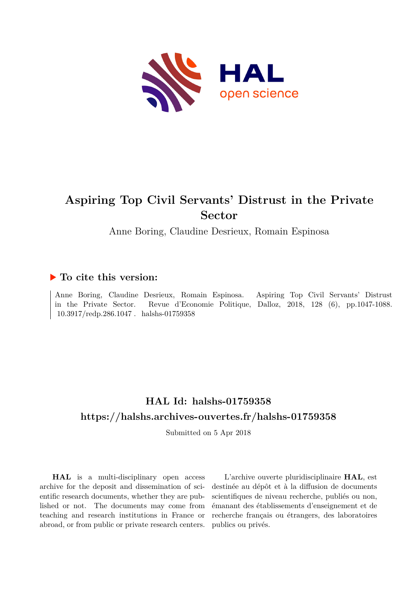

# **Aspiring Top Civil Servants' Distrust in the Private Sector**

Anne Boring, Claudine Desrieux, Romain Espinosa

## **To cite this version:**

Anne Boring, Claudine Desrieux, Romain Espinosa. Aspiring Top Civil Servants' Distrust in the Private Sector. Revue d'Economie Politique, Dalloz, 2018, 128 (6), pp.1047-1088.  $10.3917/\text{redp}.286.1047$ . halshs-01759358

# **HAL Id: halshs-01759358 <https://halshs.archives-ouvertes.fr/halshs-01759358>**

Submitted on 5 Apr 2018

**HAL** is a multi-disciplinary open access archive for the deposit and dissemination of scientific research documents, whether they are published or not. The documents may come from teaching and research institutions in France or abroad, or from public or private research centers.

L'archive ouverte pluridisciplinaire **HAL**, est destinée au dépôt et à la diffusion de documents scientifiques de niveau recherche, publiés ou non, émanant des établissements d'enseignement et de recherche français ou étrangers, des laboratoires publics ou privés.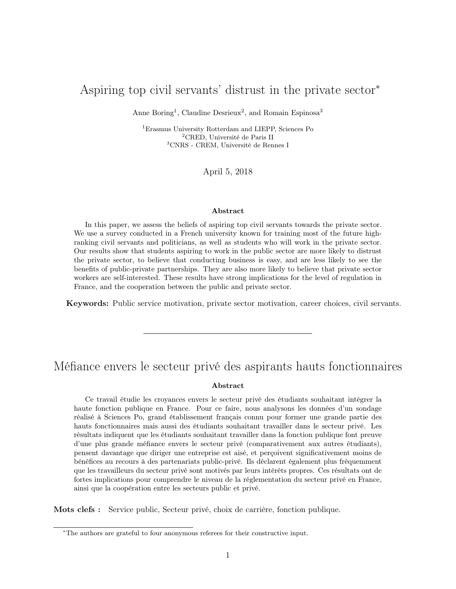## Aspiring top civil servants' distrust in the private sector<sup>∗</sup>

Anne Boring<sup>1</sup>, Claudine Desrieux<sup>2</sup>, and Romain Espinosa<sup>3</sup>

<sup>1</sup>Erasmus University Rotterdam and LIEPP, Sciences Po <sup>2</sup>CRED, Université de Paris II <sup>3</sup>CNRS - CREM, Université de Rennes I

April 5, 2018

#### Abstract

In this paper, we assess the beliefs of aspiring top civil servants towards the private sector. We use a survey conducted in a French university known for training most of the future highranking civil servants and politicians, as well as students who will work in the private sector. Our results show that students aspiring to work in the public sector are more likely to distrust the private sector, to believe that conducting business is easy, and are less likely to see the benefits of public-private partnerships. They are also more likely to believe that private sector workers are self-interested. These results have strong implications for the level of regulation in France, and the cooperation between the public and private sector.

Keywords: Public service motivation, private sector motivation, career choices, civil servants.

## Méfiance envers le secteur privé des aspirants hauts fonctionnaires

#### Abstract

Ce travail étudie les croyances envers le secteur privé des étudiants souhaitant intégrer la haute fonction publique en France. Pour ce faire, nous analysons les données d'un sondage réalisé à Sciences Po, grand établissement français connu pour former une grande partie des hauts fonctionnaires mais aussi des étudiants souhaitant travailler dans le secteur privé. Les résultats indiquent que les étudiants souhaitant travailler dans la fonction publique font preuve d'une plus grande méfiance envers le secteur privé (comparativement aux autres étudiants), pensent davantage que diriger une entreprise est aisé, et perçoivent significativement moins de bénéfices au recours à des partenariats public-privé. Ils déclarent également plus fréquemment que les travailleurs du secteur privé sont motivés par leurs intérêts propres. Ces résultats ont de fortes implications pour comprendre le niveau de la réglementation du secteur privé en France, ainsi que la coopération entre les secteurs public et privé.

Mots clefs : Service public, Secteur privé, choix de carrière, fonction publique.

<sup>∗</sup>The authors are grateful to four anonymous referees for their constructive input.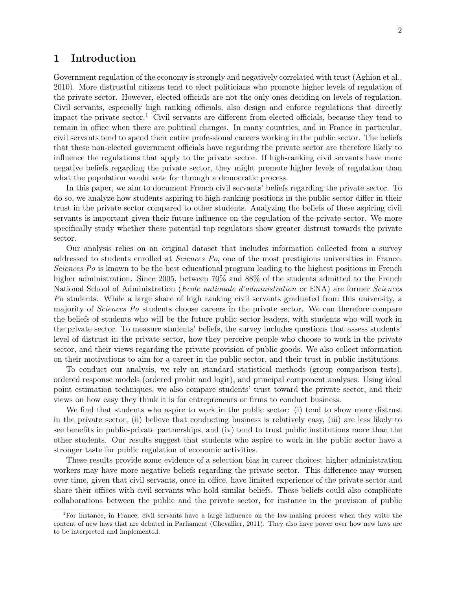## 1 Introduction

Government regulation of the economy is strongly and negatively correlated with trust (Aghion et al., 2010). More distrustful citizens tend to elect politicians who promote higher levels of regulation of the private sector. However, elected officials are not the only ones deciding on levels of regulation. Civil servants, especially high ranking officials, also design and enforce regulations that directly impact the private sector.<sup>1</sup> Civil servants are different from elected officials, because they tend to remain in office when there are political changes. In many countries, and in France in particular, civil servants tend to spend their entire professional careers working in the public sector. The beliefs that these non-elected government officials have regarding the private sector are therefore likely to influence the regulations that apply to the private sector. If high-ranking civil servants have more negative beliefs regarding the private sector, they might promote higher levels of regulation than what the population would vote for through a democratic process.

In this paper, we aim to document French civil servants' beliefs regarding the private sector. To do so, we analyze how students aspiring to high-ranking positions in the public sector differ in their trust in the private sector compared to other students. Analyzing the beliefs of these aspiring civil servants is important given their future influence on the regulation of the private sector. We more specifically study whether these potential top regulators show greater distrust towards the private sector.

Our analysis relies on an original dataset that includes information collected from a survey addressed to students enrolled at Sciences Po, one of the most prestigious universities in France. Sciences Po is known to be the best educational program leading to the highest positions in French higher administration. Since 2005, between  $70\%$  and  $88\%$  of the students admitted to the French National School of Administration (Ecole nationale d'administration or ENA) are former Sciences Po students. While a large share of high ranking civil servants graduated from this university, a majority of *Sciences Po* students choose careers in the private sector. We can therefore compare the beliefs of students who will be the future public sector leaders, with students who will work in the private sector. To measure students' beliefs, the survey includes questions that assess students' level of distrust in the private sector, how they perceive people who choose to work in the private sector, and their views regarding the private provision of public goods. We also collect information on their motivations to aim for a career in the public sector, and their trust in public institutions.

To conduct our analysis, we rely on standard statistical methods (group comparison tests), ordered response models (ordered probit and logit), and principal component analyses. Using ideal point estimation techniques, we also compare students' trust toward the private sector, and their views on how easy they think it is for entrepreneurs or firms to conduct business.

We find that students who aspire to work in the public sector: (i) tend to show more distrust in the private sector, (ii) believe that conducting business is relatively easy, (iii) are less likely to see benefits in public-private partnerships, and (iv) tend to trust public institutions more than the other students. Our results suggest that students who aspire to work in the public sector have a stronger taste for public regulation of economic activities.

These results provide some evidence of a selection bias in career choices: higher administration workers may have more negative beliefs regarding the private sector. This difference may worsen over time, given that civil servants, once in office, have limited experience of the private sector and share their offices with civil servants who hold similar beliefs. These beliefs could also complicate collaborations between the public and the private sector, for instance in the provision of public

<sup>1</sup>For instance, in France, civil servants have a large influence on the law-making process when they write the content of new laws that are debated in Parliament (Chevallier, 2011). They also have power over how new laws are to be interpreted and implemented.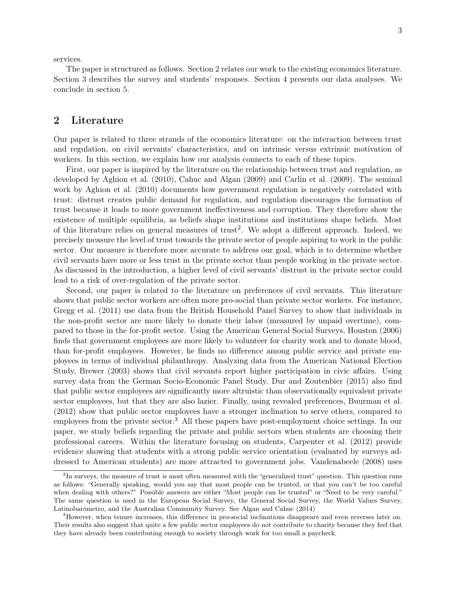services.

The paper is structured as follows. Section 2 relates our work to the existing economics literature. Section 3 describes the survey and students' responses. Section 4 presents our data analyses. We conclude in section 5.

## 2 Literature

Our paper is related to three strands of the economics literature: on the interaction between trust and regulation, on civil servants' characteristics, and on intrinsic versus extrinsic motivation of workers. In this section, we explain how our analysis connects to each of these topics.

First, our paper is inspired by the literature on the relationship between trust and regulation, as developed by Aghion et al. (2010), Cahuc and Algan (2009) and Carlin et al. (2009). The seminal work by Aghion et al. (2010) documents how government regulation is negatively correlated with trust: distrust creates public demand for regulation, and regulation discourages the formation of trust because it leads to more government ineffectiveness and corruption. They therefore show the existence of multiple equilibria, as beliefs shape institutions and institutions shape beliefs. Most of this literature relies on general measures of trust<sup>2</sup>. We adopt a different approach. Indeed, we precisely measure the level of trust towards the private sector of people aspiring to work in the public sector. Our measure is therefore more accurate to address our goal, which is to determine whether civil servants have more or less trust in the private sector than people working in the private sector. As discussed in the introduction, a higher level of civil servants' distrust in the private sector could lead to a risk of over-regulation of the private sector.

Second, our paper is related to the literature on preferences of civil servants. This literature shows that public sector workers are often more pro-social than private sector workers. For instance, Gregg et al. (2011) use data from the British Household Panel Survey to show that individuals in the non-profit sector are more likely to donate their labor (measured by unpaid overtime), compared to those in the for-profit sector. Using the American General Social Surveys, Houston (2006) finds that government employees are more likely to volunteer for charity work and to donate blood, than for-profit employees. However, he finds no difference among public service and private employees in terms of individual philanthropy. Analyzing data from the American National Election Study, Brewer (2003) shows that civil servants report higher participation in civic affairs. Using survey data from the German Socio-Economic Panel Study, Dur and Zoutenbier (2015) also find that public sector employees are significantly more altruistic than observationally equivalent private sector employees, but that they are also lazier. Finally, using revealed preferences, Buurman et al. (2012) show that public sector employees have a stronger inclination to serve others, compared to employees from the private sector.3 All these papers have post-employment choice settings. In our paper, we study beliefs regarding the private and public sectors when students are choosing their professional careers. Within the literature focusing on students, Carpenter et al. (2012) provide evidence showing that students with a strong public service orientation (evaluated by surveys addressed to American students) are more attracted to government jobs. Vandenabeele (2008) uses

<sup>&</sup>lt;sup>2</sup>In surveys, the measure of trust is most often measured with the "generalized trust" question. This question runs as follows: "Generally speaking, would you say that most people can be trusted, or that you can't be too careful when dealing with others?" Possible answers are either "Most people can be trusted" or "Need to be very careful." The same question is used in the European Social Survey, the General Social Survey, the World Values Survey, Latinobarómetro, and the Australian Community Survey. See Algan and Cahuc (2014)

<sup>3</sup>However, when tenure increases, this difference in pro-social inclinations disappears and even reverses later on. Their results also suggest that quite a few public sector employees do not contribute to charity because they feel that they have already been contributing enough to society through work for too small a paycheck.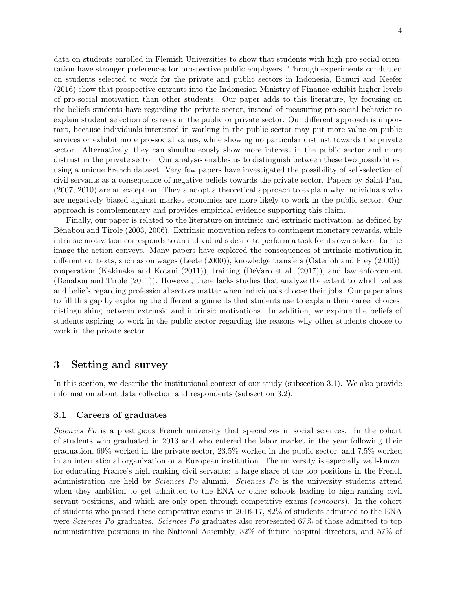data on students enrolled in Flemish Universities to show that students with high pro-social orientation have stronger preferences for prospective public employers. Through experiments conducted on students selected to work for the private and public sectors in Indonesia, Banuri and Keefer (2016) show that prospective entrants into the Indonesian Ministry of Finance exhibit higher levels of pro-social motivation than other students. Our paper adds to this literature, by focusing on the beliefs students have regarding the private sector, instead of measuring pro-social behavior to explain student selection of careers in the public or private sector. Our different approach is important, because individuals interested in working in the public sector may put more value on public services or exhibit more pro-social values, while showing no particular distrust towards the private sector. Alternatively, they can simultaneously show more interest in the public sector and more distrust in the private sector. Our analysis enables us to distinguish between these two possibilities, using a unique French dataset. Very few papers have investigated the possibility of self-selection of civil servants as a consequence of negative beliefs towards the private sector. Papers by Saint-Paul (2007, 2010) are an exception. They a adopt a theoretical approach to explain why individuals who are negatively biased against market economies are more likely to work in the public sector. Our approach is complementary and provides empirical evidence supporting this claim.

Finally, our paper is related to the literature on intrinsic and extrinsic motivation, as defined by Bénabou and Tirole (2003, 2006). Extrinsic motivation refers to contingent monetary rewards, while intrinsic motivation corresponds to an individual's desire to perform a task for its own sake or for the image the action conveys. Many papers have explored the consequences of intrinsic motivation in different contexts, such as on wages (Leete (2000)), knowledge transfers (Osterloh and Frey (2000)), cooperation (Kakinaka and Kotani (2011)), training (DeVaro et al. (2017)), and law enforcement (Benabou and Tirole (2011)). However, there lacks studies that analyze the extent to which values and beliefs regarding professional sectors matter when individuals choose their jobs. Our paper aims to fill this gap by exploring the different arguments that students use to explain their career choices, distinguishing between extrinsic and intrinsic motivations. In addition, we explore the beliefs of students aspiring to work in the public sector regarding the reasons why other students choose to work in the private sector.

### 3 Setting and survey

In this section, we describe the institutional context of our study (subsection 3.1). We also provide information about data collection and respondents (subsection 3.2).

#### 3.1 Careers of graduates

Sciences Po is a prestigious French university that specializes in social sciences. In the cohort of students who graduated in 2013 and who entered the labor market in the year following their graduation, 69% worked in the private sector, 23.5% worked in the public sector, and 7.5% worked in an international organization or a European institution. The university is especially well-known for educating France's high-ranking civil servants: a large share of the top positions in the French administration are held by Sciences Po alumni. Sciences Po is the university students attend when they ambition to get admitted to the ENA or other schools leading to high-ranking civil servant positions, and which are only open through competitive exams (concours). In the cohort of students who passed these competitive exams in 2016-17, 82% of students admitted to the ENA were *Sciences Po* graduates. *Sciences Po* graduates also represented 67\% of those admitted to top administrative positions in the National Assembly, 32% of future hospital directors, and 57% of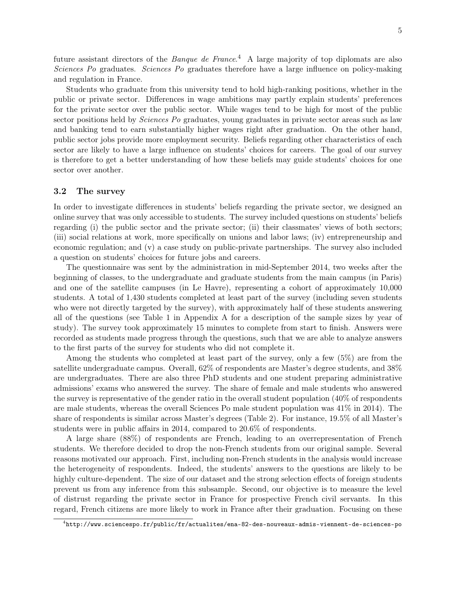future assistant directors of the *Banque de France*.<sup>4</sup> A large majority of top diplomats are also Sciences Po graduates. Sciences Po graduates therefore have a large influence on policy-making and regulation in France.

Students who graduate from this university tend to hold high-ranking positions, whether in the public or private sector. Differences in wage ambitions may partly explain students' preferences for the private sector over the public sector. While wages tend to be high for most of the public sector positions held by Sciences Po graduates, young graduates in private sector areas such as law and banking tend to earn substantially higher wages right after graduation. On the other hand, public sector jobs provide more employment security. Beliefs regarding other characteristics of each sector are likely to have a large influence on students' choices for careers. The goal of our survey is therefore to get a better understanding of how these beliefs may guide students' choices for one sector over another.

#### 3.2 The survey

In order to investigate differences in students' beliefs regarding the private sector, we designed an online survey that was only accessible to students. The survey included questions on students' beliefs regarding (i) the public sector and the private sector; (ii) their classmates' views of both sectors; (iii) social relations at work, more specifically on unions and labor laws; (iv) entrepreneurship and economic regulation; and (v) a case study on public-private partnerships. The survey also included a question on students' choices for future jobs and careers.

The questionnaire was sent by the administration in mid-September 2014, two weeks after the beginning of classes, to the undergraduate and graduate students from the main campus (in Paris) and one of the satellite campuses (in Le Havre), representing a cohort of approximately 10,000 students. A total of 1,430 students completed at least part of the survey (including seven students who were not directly targeted by the survey), with approximately half of these students answering all of the questions (see Table 1 in Appendix A for a description of the sample sizes by year of study). The survey took approximately 15 minutes to complete from start to finish. Answers were recorded as students made progress through the questions, such that we are able to analyze answers to the first parts of the survey for students who did not complete it.

Among the students who completed at least part of the survey, only a few (5%) are from the satellite undergraduate campus. Overall, 62% of respondents are Master's degree students, and 38% are undergraduates. There are also three PhD students and one student preparing administrative admissions' exams who answered the survey. The share of female and male students who answered the survey is representative of the gender ratio in the overall student population (40% of respondents are male students, whereas the overall Sciences Po male student population was 41% in 2014). The share of respondents is similar across Master's degrees (Table 2). For instance, 19.5% of all Master's students were in public affairs in 2014, compared to 20.6% of respondents.

A large share (88%) of respondents are French, leading to an overrepresentation of French students. We therefore decided to drop the non-French students from our original sample. Several reasons motivated our approach. First, including non-French students in the analysis would increase the heterogeneity of respondents. Indeed, the students' answers to the questions are likely to be highly culture-dependent. The size of our dataset and the strong selection effects of foreign students prevent us from any inference from this subsample. Second, our objective is to measure the level of distrust regarding the private sector in France for prospective French civil servants. In this regard, French citizens are more likely to work in France after their graduation. Focusing on these

 $^4$ <http://www.sciencespo.fr/public/fr/actualites/ena-82-des-nouveaux-admis-viennent-de-sciences-po>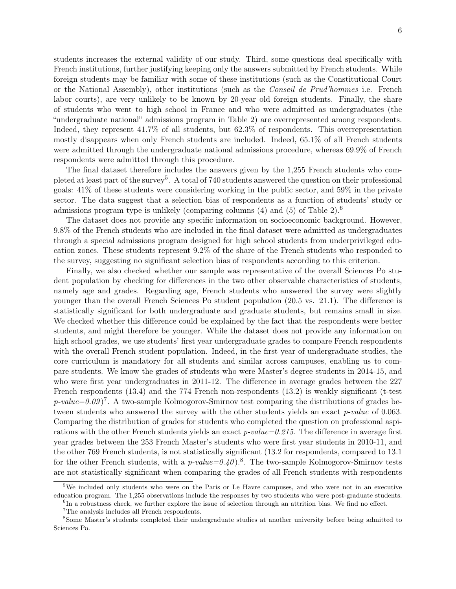students increases the external validity of our study. Third, some questions deal specifically with French institutions, further justifying keeping only the answers submitted by French students. While foreign students may be familiar with some of these institutions (such as the Constitutional Court or the National Assembly), other institutions (such as the Conseil de Prud'hommes i.e. French labor courts), are very unlikely to be known by 20-year old foreign students. Finally, the share of students who went to high school in France and who were admitted as undergraduates (the "undergraduate national" admissions program in Table 2) are overrepresented among respondents. Indeed, they represent 41.7% of all students, but 62.3% of respondents. This overrepresentation mostly disappears when only French students are included. Indeed, 65.1% of all French students were admitted through the undergraduate national admissions procedure, whereas 69.9% of French respondents were admitted through this procedure.

The final dataset therefore includes the answers given by the 1,255 French students who completed at least part of the survey<sup>5</sup>. A total of 740 students answered the question on their professional goals: 41% of these students were considering working in the public sector, and 59% in the private sector. The data suggest that a selection bias of respondents as a function of students' study or admissions program type is unlikely (comparing columns (4) and (5) of Table 2).6

The dataset does not provide any specific information on socioeconomic background. However, 9.8% of the French students who are included in the final dataset were admitted as undergraduates through a special admissions program designed for high school students from underprivileged education zones. These students represent 9.2% of the share of the French students who responded to the survey, suggesting no significant selection bias of respondents according to this criterion.

Finally, we also checked whether our sample was representative of the overall Sciences Po student population by checking for differences in the two other observable characteristics of students, namely age and grades. Regarding age, French students who answered the survey were slightly younger than the overall French Sciences Po student population (20.5 vs. 21.1). The difference is statistically significant for both undergraduate and graduate students, but remains small in size. We checked whether this difference could be explained by the fact that the respondents were better students, and might therefore be younger. While the dataset does not provide any information on high school grades, we use students' first year undergraduate grades to compare French respondents with the overall French student population. Indeed, in the first year of undergraduate studies, the core curriculum is mandatory for all students and similar across campuses, enabling us to compare students. We know the grades of students who were Master's degree students in 2014-15, and who were first year undergraduates in 2011-12. The difference in average grades between the 227 French respondents (13.4) and the 774 French non-respondents (13.2) is weakly significant (t-test  $p\text{-}value=0.09$ <sup>7</sup>. A two-sample Kolmogorov-Smirnov test comparing the distributions of grades between students who answered the survey with the other students yields an exact *p-value* of 0.063. Comparing the distribution of grades for students who completed the question on professional aspirations with the other French students yields an exact  $p-value=0.215$ . The difference in average first year grades between the 253 French Master's students who were first year students in 2010-11, and the other 769 French students, is not statistically significant (13.2 for respondents, compared to 13.1 for the other French students, with a  $p-value=0.40$ .<sup>8</sup>. The two-sample Kolmogorov-Smirnov tests are not statistically significant when comparing the grades of all French students with respondents

<sup>&</sup>lt;sup>5</sup>We included only students who were on the Paris or Le Havre campuses, and who were not in an executive education program. The 1,255 observations include the responses by two students who were post-graduate students.

<sup>&</sup>lt;sup>6</sup>In a robustness check, we further explore the issue of selection through an attrition bias. We find no effect.

<sup>7</sup>The analysis includes all French respondents.

<sup>8</sup>Some Master's students completed their undergraduate studies at another university before being admitted to Sciences Po.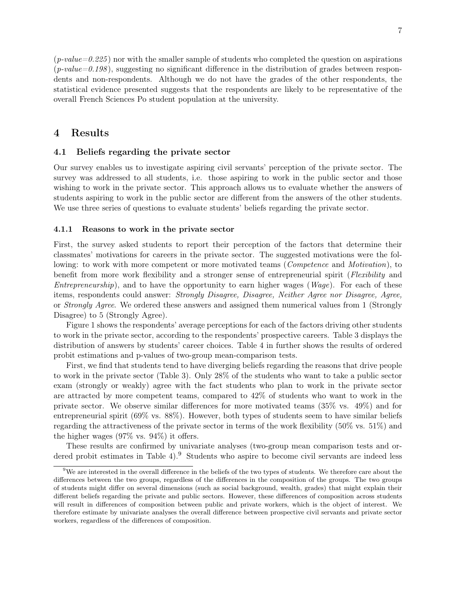$(p-value=0.225)$  nor with the smaller sample of students who completed the question on aspirations  $(p-value=0.198)$ , suggesting no significant difference in the distribution of grades between respondents and non-respondents. Although we do not have the grades of the other respondents, the statistical evidence presented suggests that the respondents are likely to be representative of the overall French Sciences Po student population at the university.

### 4 Results

#### 4.1 Beliefs regarding the private sector

Our survey enables us to investigate aspiring civil servants' perception of the private sector. The survey was addressed to all students, i.e. those aspiring to work in the public sector and those wishing to work in the private sector. This approach allows us to evaluate whether the answers of students aspiring to work in the public sector are different from the answers of the other students. We use three series of questions to evaluate students' beliefs regarding the private sector.

#### 4.1.1 Reasons to work in the private sector

First, the survey asked students to report their perception of the factors that determine their classmates' motivations for careers in the private sector. The suggested motivations were the following: to work with more competent or more motivated teams (*Competence* and *Motivation*), to benefit from more work flexibility and a stronger sense of entrepreneurial spirit (Flexibility and *Entrepreneurship*), and to have the opportunity to earn higher wages ( $Wage$ ). For each of these items, respondents could answer: *Strongly Disagree, Disagree, Neither Agree nor Disagree, Agree,* or Strongly Agree. We ordered these answers and assigned them numerical values from 1 (Strongly Disagree) to 5 (Strongly Agree).

Figure 1 shows the respondents' average perceptions for each of the factors driving other students to work in the private sector, according to the respondents' prospective careers. Table 3 displays the distribution of answers by students' career choices. Table 4 in further shows the results of ordered probit estimations and p-values of two-group mean-comparison tests.

First, we find that students tend to have diverging beliefs regarding the reasons that drive people to work in the private sector (Table 3). Only 28% of the students who want to take a public sector exam (strongly or weakly) agree with the fact students who plan to work in the private sector are attracted by more competent teams, compared to 42% of students who want to work in the private sector. We observe similar differences for more motivated teams (35% vs. 49%) and for entrepreneurial spirit (69% vs. 88%). However, both types of students seem to have similar beliefs regarding the attractiveness of the private sector in terms of the work flexibility (50% vs. 51%) and the higher wages (97% vs. 94%) it offers.

These results are confirmed by univariate analyses (two-group mean comparison tests and ordered probit estimates in Table 4).<sup>9</sup> Students who aspire to become civil servants are indeed less

 $9$ We are interested in the overall difference in the beliefs of the two types of students. We therefore care about the differences between the two groups, regardless of the differences in the composition of the groups. The two groups of students might differ on several dimensions (such as social background, wealth, grades) that might explain their different beliefs regarding the private and public sectors. However, these differences of composition across students will result in differences of composition between public and private workers, which is the object of interest. We therefore estimate by univariate analyses the overall difference between prospective civil servants and private sector workers, regardless of the differences of composition.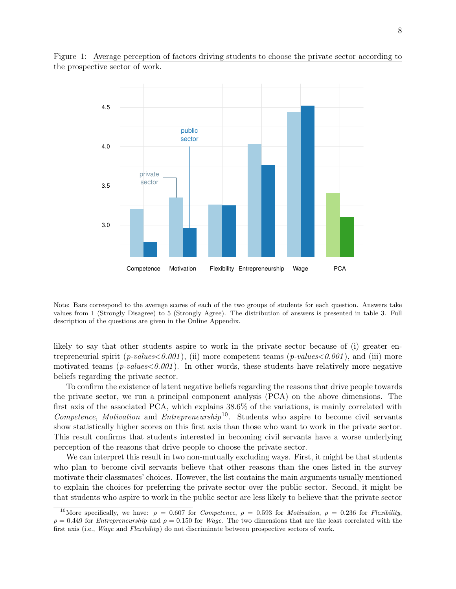



Note: Bars correspond to the average scores of each of the two groups of students for each question. Answers take values from 1 (Strongly Disagree) to 5 (Strongly Agree). The distribution of answers is presented in table 3. Full description of the questions are given in the Online Appendix.

likely to say that other students aspire to work in the private sector because of (i) greater entrepreneurial spirit (*p-values*<0.001), (ii) more competent teams (*p-values*<0.001), and (iii) more motivated teams ( $p-values<0.001$ ). In other words, these students have relatively more negative beliefs regarding the private sector.

To confirm the existence of latent negative beliefs regarding the reasons that drive people towards the private sector, we run a principal component analysis (PCA) on the above dimensions. The first axis of the associated PCA, which explains 38.6% of the variations, is mainly correlated with Competence, Motivation and Entrepreneurship<sup>10</sup>. Students who aspire to become civil servants show statistically higher scores on this first axis than those who want to work in the private sector. This result confirms that students interested in becoming civil servants have a worse underlying perception of the reasons that drive people to choose the private sector.

We can interpret this result in two non-mutually excluding ways. First, it might be that students who plan to become civil servants believe that other reasons than the ones listed in the survey motivate their classmates' choices. However, the list contains the main arguments usually mentioned to explain the choices for preferring the private sector over the public sector. Second, it might be that students who aspire to work in the public sector are less likely to believe that the private sector

<sup>&</sup>lt;sup>10</sup>More specifically, we have:  $\rho = 0.607$  for *Competence*,  $\rho = 0.593$  for *Motivation*,  $\rho = 0.236$  for *Flexibility*,  $\rho = 0.449$  for *Entrepreneurship* and  $\rho = 0.150$  for *Wage*. The two dimensions that are the least correlated with the first axis (i.e., *Wage* and *Flexibility*) do not discriminate between prospective sectors of work.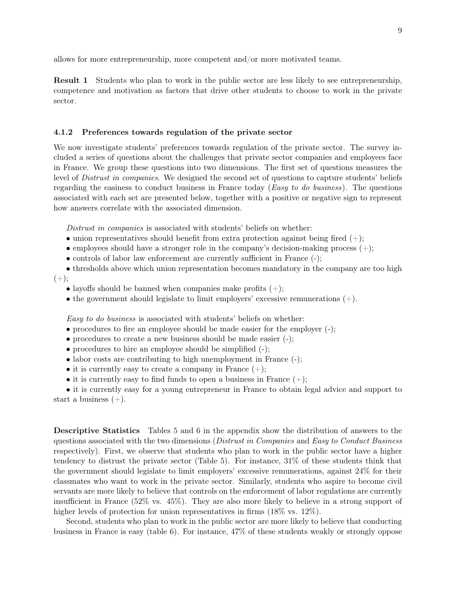allows for more entrepreneurship, more competent and/or more motivated teams.

Result 1 Students who plan to work in the public sector are less likely to see entrepreneurship, competence and motivation as factors that drive other students to choose to work in the private sector.

#### 4.1.2 Preferences towards regulation of the private sector

We now investigate students' preferences towards regulation of the private sector. The survey included a series of questions about the challenges that private sector companies and employees face in France. We group these questions into two dimensions. The first set of questions measures the level of Distrust in companies. We designed the second set of questions to capture students' beliefs regarding the easiness to conduct business in France today (Easy to do business). The questions associated with each set are presented below, together with a positive or negative sign to represent how answers correlate with the associated dimension.

Distrust in companies is associated with students' beliefs on whether:

- union representatives should benefit from extra protection against being fired  $(+)$ ;
- employees should have a stronger role in the company's decision-making process  $(+)$ ;
- controls of labor law enforcement are currently sufficient in France (-);
- thresholds above which union representation becomes mandatory in the company are too high  $(+)$ ;
	- layoffs should be banned when companies make profits  $(+)$ ;
	- the government should legislate to limit employers' excessive remunerations  $(+)$ .

Easy to do business is associated with students' beliefs on whether:

- procedures to fire an employee should be made easier for the employer (-);
- procedures to create a new business should be made easier (-);
- procedures to hire an employee should be simplified (-);
- labor costs are contributing to high unemployment in France  $(-)$ ;
- it is currently easy to create a company in France  $(+)$ ;
- it is currently easy to find funds to open a business in France  $(+)$ ;

• it is currently easy for a young entrepreneur in France to obtain legal advice and support to start a business  $(+)$ .

Descriptive Statistics Tables 5 and 6 in the appendix show the distribution of answers to the questions associated with the two dimensions (Distrust in Companies and Easy to Conduct Business respectively). First, we observe that students who plan to work in the public sector have a higher tendency to distrust the private sector (Table 5). For instance, 31% of these students think that the government should legislate to limit employers' excessive remunerations, against 24% for their classmates who want to work in the private sector. Similarly, students who aspire to become civil servants are more likely to believe that controls on the enforcement of labor regulations are currently insufficient in France (52% vs. 45%). They are also more likely to believe in a strong support of higher levels of protection for union representatives in firms  $(18\% \text{ vs. } 12\%)$ .

Second, students who plan to work in the public sector are more likely to believe that conducting business in France is easy (table 6). For instance, 47% of these students weakly or strongly oppose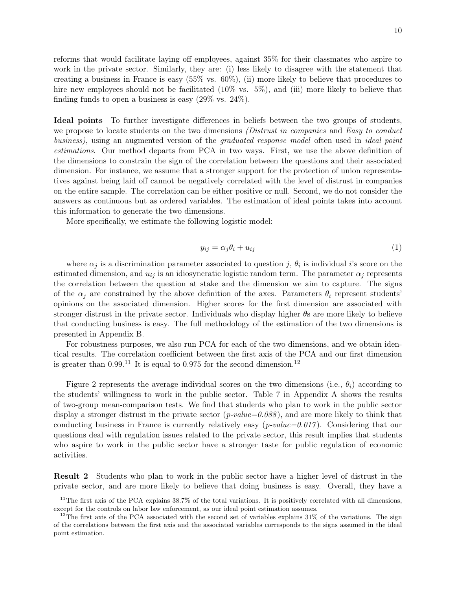reforms that would facilitate laying off employees, against 35% for their classmates who aspire to work in the private sector. Similarly, they are: (i) less likely to disagree with the statement that creating a business in France is easy (55% vs. 60%), (ii) more likely to believe that procedures to hire new employees should not be facilitated  $(10\% \text{ vs. } 5\%)$ , and (iii) more likely to believe that finding funds to open a business is easy (29% vs. 24%).

Ideal points To further investigate differences in beliefs between the two groups of students, we propose to locate students on the two dimensions *(Distrust in companies* and *Easy to conduct* business), using an augmented version of the graduated response model often used in ideal point estimations. Our method departs from PCA in two ways. First, we use the above definition of the dimensions to constrain the sign of the correlation between the questions and their associated dimension. For instance, we assume that a stronger support for the protection of union representatives against being laid off cannot be negatively correlated with the level of distrust in companies on the entire sample. The correlation can be either positive or null. Second, we do not consider the answers as continuous but as ordered variables. The estimation of ideal points takes into account this information to generate the two dimensions.

More specifically, we estimate the following logistic model:

$$
y_{ij} = \alpha_j \theta_i + u_{ij} \tag{1}
$$

where  $\alpha_j$  is a discrimination parameter associated to question j,  $\theta_i$  is individual i's score on the estimated dimension, and  $u_{ij}$  is an idiosyncratic logistic random term. The parameter  $\alpha_j$  represents the correlation between the question at stake and the dimension we aim to capture. The signs of the  $\alpha_j$  are constrained by the above definition of the axes. Parameters  $\theta_i$  represent students' opinions on the associated dimension. Higher scores for the first dimension are associated with stronger distrust in the private sector. Individuals who display higher  $\theta$ s are more likely to believe that conducting business is easy. The full methodology of the estimation of the two dimensions is presented in Appendix B.

For robustness purposes, we also run PCA for each of the two dimensions, and we obtain identical results. The correlation coefficient between the first axis of the PCA and our first dimension is greater than  $0.99^{11}$  It is equal to 0.975 for the second dimension.<sup>12</sup>

Figure 2 represents the average individual scores on the two dimensions (i.e.,  $\theta_i$ ) according to the students' willingness to work in the public sector. Table 7 in Appendix A shows the results of two-group mean-comparison tests. We find that students who plan to work in the public sector display a stronger distrust in the private sector  $(p-value=0.088)$ , and are more likely to think that conducting business in France is currently relatively easy  $(p-value=0.017)$ . Considering that our questions deal with regulation issues related to the private sector, this result implies that students who aspire to work in the public sector have a stronger taste for public regulation of economic activities.

Result 2 Students who plan to work in the public sector have a higher level of distrust in the private sector, and are more likely to believe that doing business is easy. Overall, they have a

 $11$ The first axis of the PCA explains 38.7% of the total variations. It is positively correlated with all dimensions, except for the controls on labor law enforcement, as our ideal point estimation assumes.

<sup>&</sup>lt;sup>12</sup>The first axis of the PCA associated with the second set of variables explains  $31\%$  of the variations. The sign of the correlations between the first axis and the associated variables corresponds to the signs assumed in the ideal point estimation.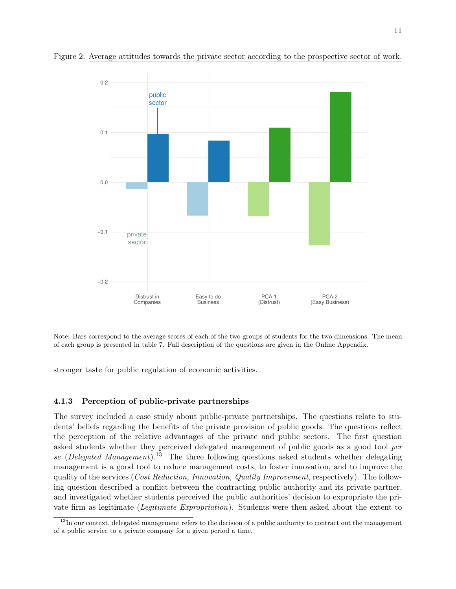

Figure 2: Average attitudes towards the private sector according to the prospective sector of work.

Note: Bars correspond to the average scores of each of the two groups of students for the two dimensions. The mean of each group is presented in table 7. Full description of the questions are given in the Online Appendix.

stronger taste for public regulation of economic activities.

#### 4.1.3 Perception of public-private partnerships

The survey included a case study about public-private partnerships. The questions relate to students' beliefs regarding the benefits of the private provision of public goods. The questions reflect the perception of the relative advantages of the private and public sectors. The first question asked students whether they perceived delegated management of public goods as a good tool per se (Delegated Management).<sup>13</sup> The three following questions asked students whether delegating management is a good tool to reduce management costs, to foster innovation, and to improve the quality of the services (*Cost Reduction, Innovation, Quality Improvement*, respectively). The following question described a conflict between the contracting public authority and its private partner, and investigated whether students perceived the public authorities' decision to expropriate the private firm as legitimate (Legitimate Expropriation). Students were then asked about the extent to

<sup>&</sup>lt;sup>13</sup>In our context, delegated management refers to the decision of a public authority to contract out the management of a public service to a private company for a given period a time.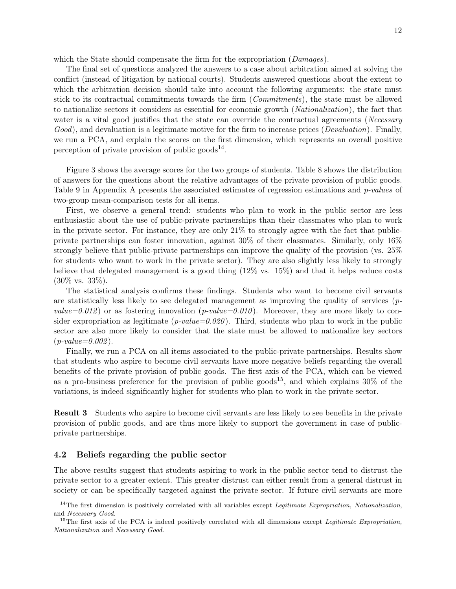which the State should compensate the firm for the expropriation (*Damages*).

The final set of questions analyzed the answers to a case about arbitration aimed at solving the conflict (instead of litigation by national courts). Students answered questions about the extent to which the arbitration decision should take into account the following arguments: the state must stick to its contractual commitments towards the firm (Commitments), the state must be allowed to nationalize sectors it considers as essential for economic growth (Nationalization), the fact that water is a vital good justifies that the state can override the contractual agreements (Necessary Good), and devaluation is a legitimate motive for the firm to increase prices (*Devaluation*). Finally, we run a PCA, and explain the scores on the first dimension, which represents an overall positive perception of private provision of public goods $^{14}$ .

Figure 3 shows the average scores for the two groups of students. Table 8 shows the distribution of answers for the questions about the relative advantages of the private provision of public goods. Table 9 in Appendix A presents the associated estimates of regression estimations and *p-values* of two-group mean-comparison tests for all items.

First, we observe a general trend: students who plan to work in the public sector are less enthusiastic about the use of public-private partnerships than their classmates who plan to work in the private sector. For instance, they are only 21% to strongly agree with the fact that publicprivate partnerships can foster innovation, against 30% of their classmates. Similarly, only 16% strongly believe that public-private partnerships can improve the quality of the provision (vs. 25% for students who want to work in the private sector). They are also slightly less likely to strongly believe that delegated management is a good thing (12% vs. 15%) and that it helps reduce costs (30% vs. 33%).

The statistical analysis confirms these findings. Students who want to become civil servants are statistically less likely to see delegated management as improving the quality of services ( $p$ value=0.012) or as fostering innovation (p-value=0.010). Moreover, they are more likely to consider expropriation as legitimate ( $p-value=0.020$ ). Third, students who plan to work in the public sector are also more likely to consider that the state must be allowed to nationalize key sectors  $(p-value=0.002)$ .

Finally, we run a PCA on all items associated to the public-private partnerships. Results show that students who aspire to become civil servants have more negative beliefs regarding the overall benefits of the private provision of public goods. The first axis of the PCA, which can be viewed as a pro-business preference for the provision of public goods<sup>15</sup>, and which explains  $30\%$  of the variations, is indeed significantly higher for students who plan to work in the private sector.

Result 3 Students who aspire to become civil servants are less likely to see benefits in the private provision of public goods, and are thus more likely to support the government in case of publicprivate partnerships.

#### 4.2 Beliefs regarding the public sector

The above results suggest that students aspiring to work in the public sector tend to distrust the private sector to a greater extent. This greater distrust can either result from a general distrust in society or can be specifically targeted against the private sector. If future civil servants are more

 $14$ The first dimension is positively correlated with all variables except *Legitimate Expropriation*, *Nationalization*, and Necessary Good.

 $15$ The first axis of the PCA is indeed positively correlated with all dimensions except *Legitimate Expropriation*, Nationalization and Necessary Good.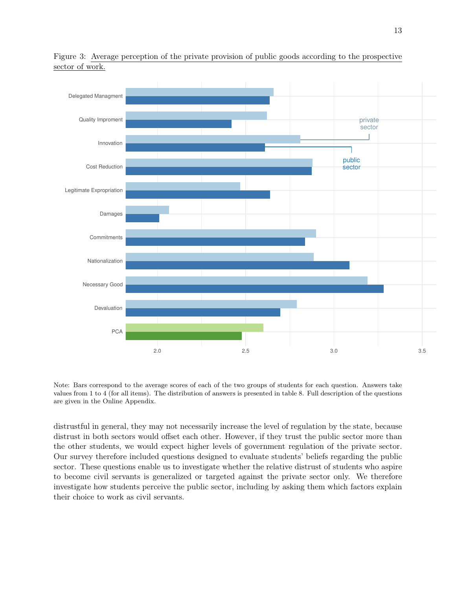

Figure 3: Average perception of the private provision of public goods according to the prospective sector of work.

Note: Bars correspond to the average scores of each of the two groups of students for each question. Answers take values from 1 to 4 (for all items). The distribution of answers is presented in table 8. Full description of the questions are given in the Online Appendix.

distrustful in general, they may not necessarily increase the level of regulation by the state, because distrust in both sectors would offset each other. However, if they trust the public sector more than the other students, we would expect higher levels of government regulation of the private sector. Our survey therefore included questions designed to evaluate students' beliefs regarding the public sector. These questions enable us to investigate whether the relative distrust of students who aspire to become civil servants is generalized or targeted against the private sector only. We therefore investigate how students perceive the public sector, including by asking them which factors explain their choice to work as civil servants.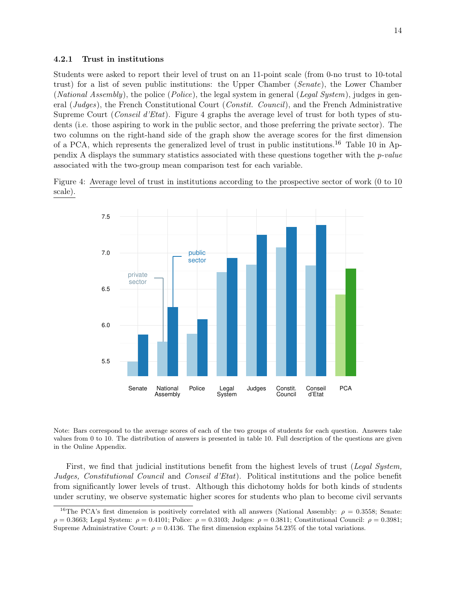#### 4.2.1 Trust in institutions

Students were asked to report their level of trust on an 11-point scale (from 0-no trust to 10-total trust) for a list of seven public institutions: the Upper Chamber (Senate), the Lower Chamber (*National Assembly*), the police (*Police*), the legal system in general (*Legal System*), judges in general (Judges), the French Constitutional Court (Constit. Council), and the French Administrative Supreme Court (Conseil d'Etat). Figure 4 graphs the average level of trust for both types of students (i.e. those aspiring to work in the public sector, and those preferring the private sector). The two columns on the right-hand side of the graph show the average scores for the first dimension of a PCA, which represents the generalized level of trust in public institutions.16 Table 10 in Appendix A displays the summary statistics associated with these questions together with the  $p$ -value associated with the two-group mean comparison test for each variable.





Note: Bars correspond to the average scores of each of the two groups of students for each question. Answers take values from 0 to 10. The distribution of answers is presented in table 10. Full description of the questions are given in the Online Appendix.

First, we find that judicial institutions benefit from the highest levels of trust (Legal System, Judges, Constitutional Council and Conseil d'Etat). Political institutions and the police benefit from significantly lower levels of trust. Although this dichotomy holds for both kinds of students under scrutiny, we observe systematic higher scores for students who plan to become civil servants

<sup>&</sup>lt;sup>16</sup>The PCA's first dimension is positively correlated with all answers (National Assembly:  $\rho = 0.3558$ ; Senate:  $ρ = 0.3663$ ; Legal System:  $ρ = 0.4101$ ; Police:  $ρ = 0.3103$ ; Judges:  $ρ = 0.3811$ ; Constitutional Council:  $ρ = 0.3981$ ; Supreme Administrative Court:  $\rho = 0.4136$ . The first dimension explains 54.23% of the total variations.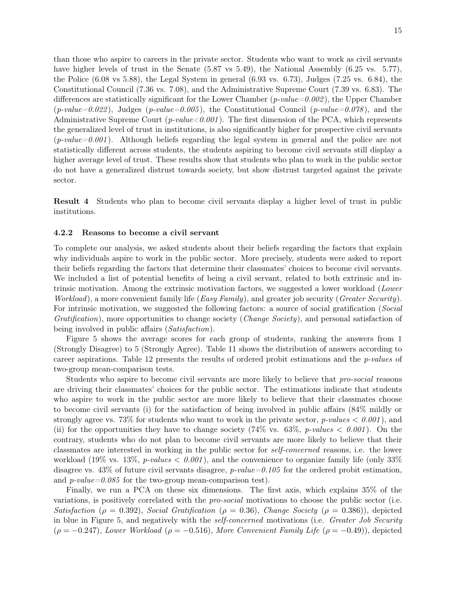than those who aspire to careers in the private sector. Students who want to work as civil servants have higher levels of trust in the Senate (5.87 vs 5.49), the National Assembly (6.25 vs. 5.77), the Police (6.08 vs 5.88), the Legal System in general (6.93 vs. 6.73), Judges (7.25 vs. 6.84), the Constitutional Council (7.36 vs. 7.08), and the Administrative Supreme Court (7.39 vs. 6.83). The differences are statistically significant for the Lower Chamber ( $p-value=0.002$ ), the Upper Chamber  $(p-value=0.022)$ , Judges  $(p-value=0.005)$ , the Constitutional Council  $(p-value=0.078)$ , and the Administrative Supreme Court (*p-value*  $< 0.001$ ). The first dimension of the PCA, which represents the generalized level of trust in institutions, is also significantly higher for prospective civil servants  $(p-value=0.001)$ . Although beliefs regarding the legal system in general and the police are not statistically different across students, the students aspiring to become civil servants still display a higher average level of trust. These results show that students who plan to work in the public sector do not have a generalized distrust towards society, but show distrust targeted against the private sector.

Result 4 Students who plan to become civil servants display a higher level of trust in public institutions.

#### 4.2.2 Reasons to become a civil servant

To complete our analysis, we asked students about their beliefs regarding the factors that explain why individuals aspire to work in the public sector. More precisely, students were asked to report their beliefs regarding the factors that determine their classmates' choices to become civil servants. We included a list of potential benefits of being a civil servant, related to both extrinsic and intrinsic motivation. Among the extrinsic motivation factors, we suggested a lower workload (Lower *Workload*), a more convenient family life (*Easy Family*), and greater job security (*Greater Security*). For intrinsic motivation, we suggested the following factors: a source of social gratification (Social Gratification), more opportunities to change society (Change Society), and personal satisfaction of being involved in public affairs (Satisfaction).

Figure 5 shows the average scores for each group of students, ranking the answers from 1 (Strongly Disagree) to 5 (Strongly Agree). Table 11 shows the distribution of answers according to career aspirations. Table 12 presents the results of ordered probit estimations and the p-values of two-group mean-comparison tests.

Students who aspire to become civil servants are more likely to believe that pro-social reasons are driving their classmates' choices for the public sector. The estimations indicate that students who aspire to work in the public sector are more likely to believe that their classmates choose to become civil servants (i) for the satisfaction of being involved in public affairs (84% mildly or strongly agree vs. 73% for students who want to work in the private sector, *p-values*  $\lt 0.001$ , and (ii) for the opportunities they have to change society  $(74\% \text{ vs. } 63\%, \text{ p-values} < 0.001)$ . On the contrary, students who do not plan to become civil servants are more likely to believe that their classmates are interested in working in the public sector for self-concerned reasons, i.e. the lower workload (19% vs. 13%, *p-values*  $\lt$  0.001), and the convenience to organize family life (only 33%) disagree vs. 43% of future civil servants disagree,  $p-value=0.105$  for the ordered probit estimation, and *p-value=0.085* for the two-group mean-comparison test).

Finally, we run a PCA on these six dimensions. The first axis, which explains 35% of the variations, is positively correlated with the pro-social motivations to choose the public sector (i.e. Satisfaction ( $\rho = 0.392$ ), Social Gratification ( $\rho = 0.36$ ), Change Society ( $\rho = 0.386$ )), depicted in blue in Figure 5, and negatively with the *self-concerned* motivations (i.e. *Greater Job Security*  $(\rho = -0.247)$ , Lower Workload ( $\rho = -0.516$ ), More Convenient Family Life ( $\rho = -0.49$ )), depicted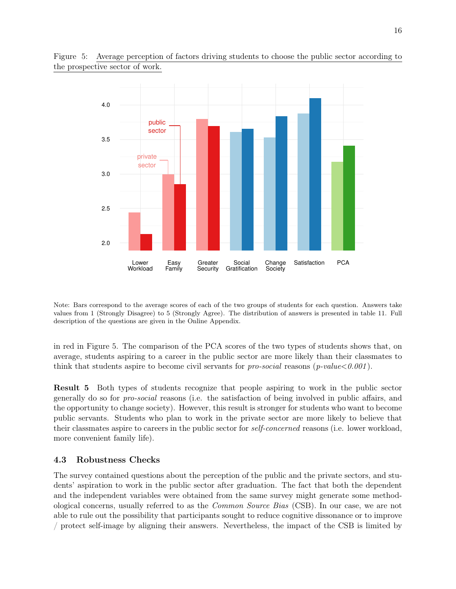



Note: Bars correspond to the average scores of each of the two groups of students for each question. Answers take values from 1 (Strongly Disagree) to 5 (Strongly Agree). The distribution of answers is presented in table 11. Full description of the questions are given in the Online Appendix.

in red in Figure 5. The comparison of the PCA scores of the two types of students shows that, on average, students aspiring to a career in the public sector are more likely than their classmates to think that students aspire to become civil servants for pro-social reasons  $(p\text{-value} < 0.001)$ .

Result 5 Both types of students recognize that people aspiring to work in the public sector generally do so for pro-social reasons (i.e. the satisfaction of being involved in public affairs, and the opportunity to change society). However, this result is stronger for students who want to become public servants. Students who plan to work in the private sector are more likely to believe that their classmates aspire to careers in the public sector for self-concerned reasons (i.e. lower workload, more convenient family life).

### 4.3 Robustness Checks

The survey contained questions about the perception of the public and the private sectors, and students' aspiration to work in the public sector after graduation. The fact that both the dependent and the independent variables were obtained from the same survey might generate some methodological concerns, usually referred to as the Common Source Bias (CSB). In our case, we are not able to rule out the possibility that participants sought to reduce cognitive dissonance or to improve / protect self-image by aligning their answers. Nevertheless, the impact of the CSB is limited by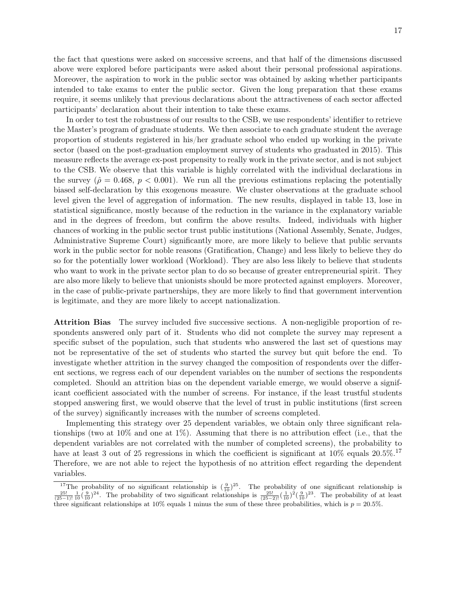the fact that questions were asked on successive screens, and that half of the dimensions discussed above were explored before participants were asked about their personal professional aspirations. Moreover, the aspiration to work in the public sector was obtained by asking whether participants intended to take exams to enter the public sector. Given the long preparation that these exams require, it seems unlikely that previous declarations about the attractiveness of each sector affected participants' declaration about their intention to take these exams.

In order to test the robustness of our results to the CSB, we use respondents' identifier to retrieve the Master's program of graduate students. We then associate to each graduate student the average proportion of students registered in his/her graduate school who ended up working in the private sector (based on the post-graduation employment survey of students who graduated in 2015). This measure reflects the average ex-post propensity to really work in the private sector, and is not subject to the CSB. We observe that this variable is highly correlated with the individual declarations in the survey ( $\hat{\rho} = 0.468$ ,  $p < 0.001$ ). We run all the previous estimations replacing the potentially biased self-declaration by this exogenous measure. We cluster observations at the graduate school level given the level of aggregation of information. The new results, displayed in table 13, lose in statistical significance, mostly because of the reduction in the variance in the explanatory variable and in the degrees of freedom, but confirm the above results. Indeed, individuals with higher chances of working in the public sector trust public institutions (National Assembly, Senate, Judges, Administrative Supreme Court) significantly more, are more likely to believe that public servants work in the public sector for noble reasons (Gratification, Change) and less likely to believe they do so for the potentially lower workload (Workload). They are also less likely to believe that students who want to work in the private sector plan to do so because of greater entrepreneurial spirit. They are also more likely to believe that unionists should be more protected against employers. Moreover, in the case of public-private partnerships, they are more likely to find that government intervention is legitimate, and they are more likely to accept nationalization.

Attrition Bias The survey included five successive sections. A non-negligible proportion of respondents answered only part of it. Students who did not complete the survey may represent a specific subset of the population, such that students who answered the last set of questions may not be representative of the set of students who started the survey but quit before the end. To investigate whether attrition in the survey changed the composition of respondents over the different sections, we regress each of our dependent variables on the number of sections the respondents completed. Should an attrition bias on the dependent variable emerge, we would observe a significant coefficient associated with the number of screens. For instance, if the least trustful students stopped answering first, we would observe that the level of trust in public institutions (first screen of the survey) significantly increases with the number of screens completed.

Implementing this strategy over 25 dependent variables, we obtain only three significant relationships (two at  $10\%$  and one at  $1\%$ ). Assuming that there is no attribution effect (i.e., that the dependent variables are not correlated with the number of completed screens), the probability to have at least 3 out of 25 regressions in which the coefficient is significant at  $10\%$  equals  $20.5\%$ .<sup>17</sup> Therefore, we are not able to reject the hypothesis of no attrition effect regarding the dependent variables.

<sup>&</sup>lt;sup>17</sup>The probability of no significant relationship is  $(\frac{9}{10})^{25}$ . The probability of one significant relationship is  $(\frac{25!}{(25-1)!}\frac{1}{10}(\frac{9}{10})^{24}$ . The probability of two significant relationships is  $\frac{25!}{(25$ three significant relationships at 10% equals 1 minus the sum of these three probabilities, which is  $p = 20.5\%$ .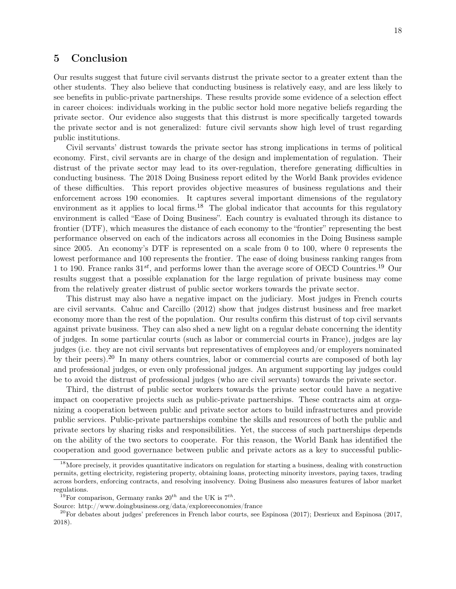### 5 Conclusion

Our results suggest that future civil servants distrust the private sector to a greater extent than the other students. They also believe that conducting business is relatively easy, and are less likely to see benefits in public-private partnerships. These results provide some evidence of a selection effect in career choices: individuals working in the public sector hold more negative beliefs regarding the private sector. Our evidence also suggests that this distrust is more specifically targeted towards the private sector and is not generalized: future civil servants show high level of trust regarding public institutions.

Civil servants' distrust towards the private sector has strong implications in terms of political economy. First, civil servants are in charge of the design and implementation of regulation. Their distrust of the private sector may lead to its over-regulation, therefore generating difficulties in conducting business. The 2018 Doing Business report edited by the World Bank provides evidence of these difficulties. This report provides objective measures of business regulations and their enforcement across 190 economies. It captures several important dimensions of the regulatory environment as it applies to local firms.<sup>18</sup> The global indicator that accounts for this regulatory environment is called "Ease of Doing Business". Each country is evaluated through its distance to frontier (DTF), which measures the distance of each economy to the "frontier" representing the best performance observed on each of the indicators across all economies in the Doing Business sample since 2005. An economy's DTF is represented on a scale from 0 to 100, where 0 represents the lowest performance and 100 represents the frontier. The ease of doing business ranking ranges from 1 to 190. France ranks  $31^{st}$ , and performs lower than the average score of OECD Countries.<sup>19</sup> Our results suggest that a possible explanation for the large regulation of private business may come from the relatively greater distrust of public sector workers towards the private sector.

This distrust may also have a negative impact on the judiciary. Most judges in French courts are civil servants. Cahuc and Carcillo (2012) show that judges distrust business and free market economy more than the rest of the population. Our results confirm this distrust of top civil servants against private business. They can also shed a new light on a regular debate concerning the identity of judges. In some particular courts (such as labor or commercial courts in France), judges are lay judges (i.e. they are not civil servants but representatives of employees and/or employers nominated by their peers).<sup>20</sup> In many others countries, labor or commercial courts are composed of both lay and professional judges, or even only professional judges. An argument supporting lay judges could be to avoid the distrust of professional judges (who are civil servants) towards the private sector.

Third, the distrust of public sector workers towards the private sector could have a negative impact on cooperative projects such as public-private partnerships. These contracts aim at organizing a cooperation between public and private sector actors to build infrastructures and provide public services. Public-private partnerships combine the skills and resources of both the public and private sectors by sharing risks and responsibilities. Yet, the success of such partnerships depends on the ability of the two sectors to cooperate. For this reason, the World Bank has identified the cooperation and good governance between public and private actors as a key to successful public-

<sup>&</sup>lt;sup>18</sup>More precisely, it provides quantitative indicators on regulation for starting a business, dealing with construction permits, getting electricity, registering property, obtaining loans, protecting minority investors, paying taxes, trading across borders, enforcing contracts, and resolving insolvency. Doing Business also measures features of labor market regulations.

<sup>&</sup>lt;sup>19</sup>For comparison, Germany ranks  $20^{th}$  and the UK is  $7^{th}$ .

Source: http://www.doingbusiness.org/data/exploreeconomies/france

 $^{20}$ For debates about judges' preferences in French labor courts, see Espinosa (2017); Desrieux and Espinosa (2017, 2018).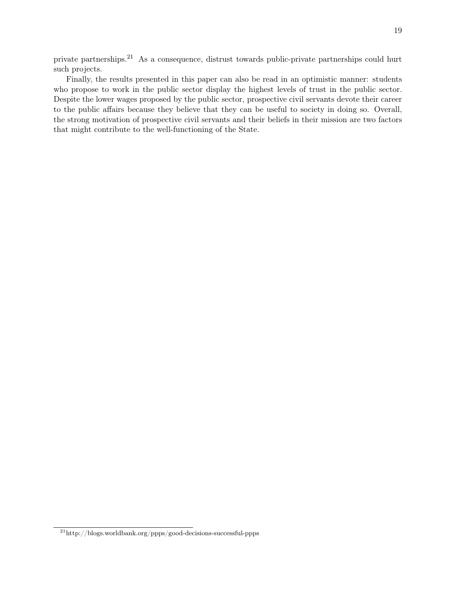private partnerships.21 As a consequence, distrust towards public-private partnerships could hurt such projects.

Finally, the results presented in this paper can also be read in an optimistic manner: students who propose to work in the public sector display the highest levels of trust in the public sector. Despite the lower wages proposed by the public sector, prospective civil servants devote their career to the public affairs because they believe that they can be useful to society in doing so. Overall, the strong motivation of prospective civil servants and their beliefs in their mission are two factors that might contribute to the well-functioning of the State.

 $\overline{{}^{21}\text{http://blogs.worldbank.org/ppps/good-decisions-successful-ppps}}$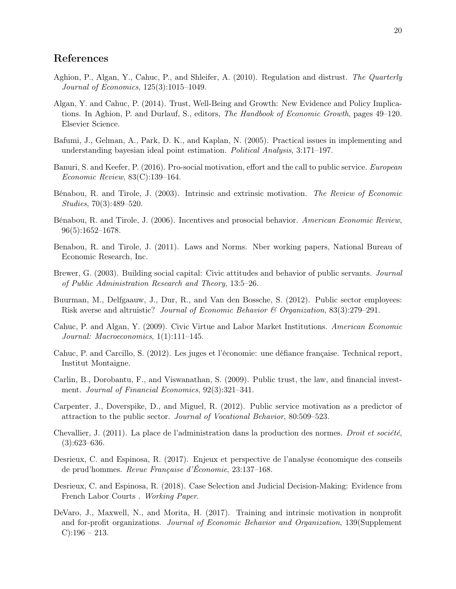## References

- Aghion, P., Algan, Y., Cahuc, P., and Shleifer, A. (2010). Regulation and distrust. The Quarterly Journal of Economics, 125(3):1015–1049.
- Algan, Y. and Cahuc, P. (2014). Trust, Well-Being and Growth: New Evidence and Policy Implications. In Aghion, P. and Durlauf, S., editors, The Handbook of Economic Growth, pages 49–120. Elsevier Science.
- Bafumi, J., Gelman, A., Park, D. K., and Kaplan, N. (2005). Practical issues in implementing and understanding bayesian ideal point estimation. Political Analysis, 3:171–197.
- Banuri, S. and Keefer, P. (2016). Pro-social motivation, effort and the call to public service. European Economic Review, 83(C):139–164.
- Bénabou, R. and Tirole, J. (2003). Intrinsic and extrinsic motivation. The Review of Economic Studies, 70(3):489–520.
- Bénabou, R. and Tirole, J. (2006). Incentives and prosocial behavior. American Economic Review, 96(5):1652–1678.
- Benabou, R. and Tirole, J. (2011). Laws and Norms. Nber working papers, National Bureau of Economic Research, Inc.
- Brewer, G. (2003). Building social capital: Civic attitudes and behavior of public servants. Journal of Public Administration Research and Theory, 13:5–26.
- Buurman, M., Delfgaauw, J., Dur, R., and Van den Bossche, S. (2012). Public sector employees: Risk averse and altruistic? Journal of Economic Behavior & Organization, 83(3):279–291.
- Cahuc, P. and Algan, Y. (2009). Civic Virtue and Labor Market Institutions. American Economic Journal: Macroeconomics, 1(1):111–145.
- Cahuc, P. and Carcillo, S. (2012). Les juges et l'économie: une défiance française. Technical report, Institut Montaigne.
- Carlin, B., Dorobantu, F., and Viswanathan, S. (2009). Public trust, the law, and financial investment. Journal of Financial Economics, 92(3):321–341.
- Carpenter, J., Doverspike, D., and Miguel, R. (2012). Public service motivation as a predictor of attraction to the public sector. Journal of Vocational Behavior, 80:509–523.
- Chevallier, J. (2011). La place de l'administration dans la production des normes. Droit et société,  $(3):623-636.$
- Desrieux, C. and Espinosa, R. (2017). Enjeux et perspective de l'analyse économique des conseils de prud'hommes. Revue Française d'Économie, 23:137–168.
- Desrieux, C. and Espinosa, R. (2018). Case Selection and Judicial Decision-Making: Evidence from French Labor Courts . Working Paper.
- DeVaro, J., Maxwell, N., and Morita, H. (2017). Training and intrinsic motivation in nonprofit and for-profit organizations. Journal of Economic Behavior and Organization, 139(Supplement  $C$ :196 – 213.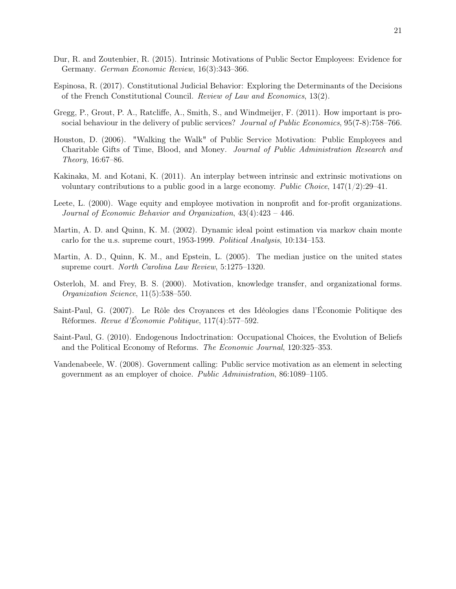- Dur, R. and Zoutenbier, R. (2015). Intrinsic Motivations of Public Sector Employees: Evidence for Germany. German Economic Review, 16(3):343–366.
- Espinosa, R. (2017). Constitutional Judicial Behavior: Exploring the Determinants of the Decisions of the French Constitutional Council. Review of Law and Economics, 13(2).
- Gregg, P., Grout, P. A., Ratcliffe, A., Smith, S., and Windmeijer, F. (2011). How important is prosocial behaviour in the delivery of public services? Journal of Public Economics, 95(7-8):758–766.
- Houston, D. (2006). "Walking the Walk" of Public Service Motivation: Public Employees and Charitable Gifts of Time, Blood, and Money. Journal of Public Administration Research and Theory, 16:67–86.
- Kakinaka, M. and Kotani, K. (2011). An interplay between intrinsic and extrinsic motivations on voluntary contributions to a public good in a large economy. Public Choice,  $147(1/2):29-41$ .
- Leete, L. (2000). Wage equity and employee motivation in nonprofit and for-profit organizations. Journal of Economic Behavior and Organization, 43(4):423 – 446.
- Martin, A. D. and Quinn, K. M. (2002). Dynamic ideal point estimation via markov chain monte carlo for the u.s. supreme court, 1953-1999. Political Analysis, 10:134–153.
- Martin, A. D., Quinn, K. M., and Epstein, L. (2005). The median justice on the united states supreme court. North Carolina Law Review, 5:1275–1320.
- Osterloh, M. and Frey, B. S. (2000). Motivation, knowledge transfer, and organizational forms. Organization Science, 11(5):538–550.
- Saint-Paul, G. (2007). Le Rôle des Croyances et des Idéologies dans l'Économie Politique des Réformes. Revue d'Économie Politique, 117(4):577–592.
- Saint-Paul, G. (2010). Endogenous Indoctrination: Occupational Choices, the Evolution of Beliefs and the Political Economy of Reforms. The Economic Journal, 120:325–353.
- Vandenabeele, W. (2008). Government calling: Public service motivation as an element in selecting government as an employer of choice. Public Administration, 86:1089–1105.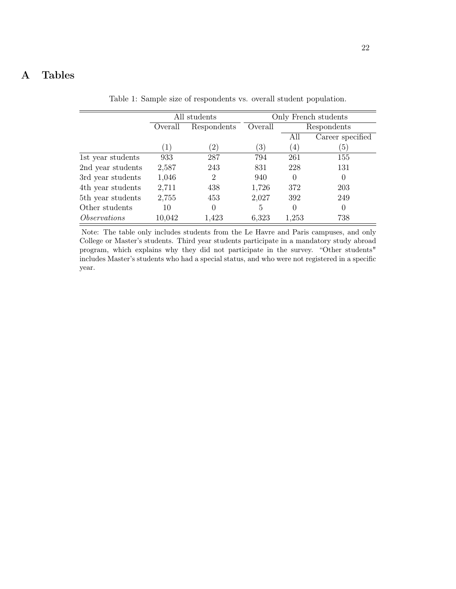## A Tables

All students Only French students Overall Respondents Overall Respondents All Career specified  $(1)$   $(2)$   $(3)$   $(4)$   $(5)$ 1st year students 933 287 794 261 155 2nd year students 2,587 243 831 228 131 3rd year students 1,046 2 940 0 0 4th year students 2,711 438 1,726 372 203 5th year students 2,755 453 2,027 392 249 Other students  $10$  0 5 0 0 Observations 10,042 1,423 6,323 1,253 738

Table 1: Sample size of respondents vs. overall student population.

Note: The table only includes students from the Le Havre and Paris campuses, and only College or Master's students. Third year students participate in a mandatory study abroad program, which explains why they did not participate in the survey. "Other students" includes Master's students who had a special status, and who were not registered in a specific year.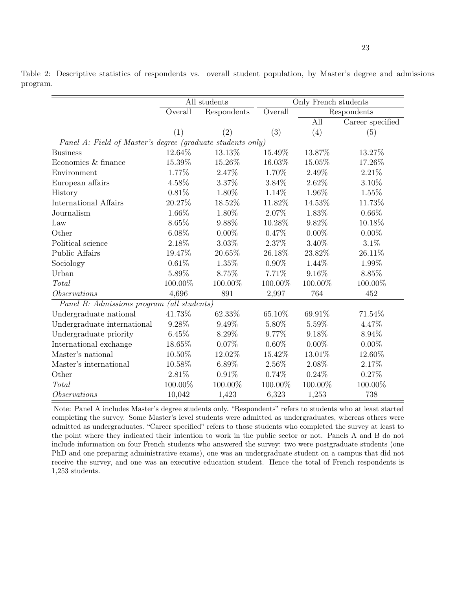Table 2: Descriptive statistics of respondents vs. overall student population, by Master's degree and admissions program.

|                                                            |          | All students | Only French students |                  |                  |  |  |  |
|------------------------------------------------------------|----------|--------------|----------------------|------------------|------------------|--|--|--|
|                                                            | Overall  | Respondents  | Overall              |                  | Respondents      |  |  |  |
|                                                            |          |              |                      | $\overline{All}$ | Career specified |  |  |  |
|                                                            | (1)      | (2)          | (3)                  | (4)              | (5)              |  |  |  |
| Panel A: Field of Master's degree (graduate students only) |          |              |                      |                  |                  |  |  |  |
| <b>Business</b>                                            | 12.64%   | 13.13%       | 15.49%               | 13.87%           | 13.27%           |  |  |  |
| Economics & finance                                        | 15.39%   | 15.26%       | 16.03%               | 15.05%           | 17.26%           |  |  |  |
| Environment                                                | 1.77%    | 2.47%        | 1.70%                | 2.49%            | 2.21%            |  |  |  |
| European affairs                                           | 4.58%    | 3.37%        | 3.84%                | 2.62%            | 3.10%            |  |  |  |
| History                                                    | 0.81%    | 1.80%        | 1.14%                | 1.96%            | 1.55%            |  |  |  |
| International Affairs                                      | 20.27%   | 18.52%       | 11.82%               | 14.53%           | 11.73%           |  |  |  |
| Journalism                                                 | 1.66%    | 1.80%        | 2.07%                | 1.83%            | $0.66\%$         |  |  |  |
| Law                                                        | 8.65%    | 9.88%        | 10.28%               | 9.82%            | 10.18%           |  |  |  |
| Other                                                      | $6.08\%$ | $0.00\%$     | 0.47%                | $0.00\%$         | $0.00\%$         |  |  |  |
| Political science                                          | 2.18%    | 3.03%        | 2.37%                | 3.40%            | 3.1%             |  |  |  |
| Public Affairs                                             | 19.47%   | 20.65%       | 26.18%               | 23.82%           | 26.11%           |  |  |  |
| Sociology                                                  | 0.61%    | 1.35%        | $0.90\%$             | 1.44%            | 1.99%            |  |  |  |
| Urban                                                      | 5.89%    | 8.75%        | $7.71\%$             | 9.16%            | 8.85%            |  |  |  |
| Total                                                      | 100.00%  | 100.00%      | 100.00%              | 100.00%          | 100.00%          |  |  |  |
| <i>Observations</i>                                        | 4,696    | 891          | 2,997                | 764              | 452              |  |  |  |
| Panel B: Admissions program (all students)                 |          |              |                      |                  |                  |  |  |  |
| Undergraduate national                                     | 41.73%   | 62.33%       | 65.10%               | 69.91%           | 71.54%           |  |  |  |
| Undergraduate international                                | $9.28\%$ | 9.49%        | 5.80%                | 5.59%            | 4.47%            |  |  |  |
| Undergraduate priority                                     | 6.45%    | 8.29%        | 9.77%                | 9.18%            | 8.94%            |  |  |  |
| International exchange                                     | 18.65%   | 0.07%        | $0.60\%$             | $0.00\%$         | $0.00\%$         |  |  |  |
| Master's national                                          | 10.50%   | 12.02%       | 15.42%               | 13.01%           | 12.60%           |  |  |  |
| Master's international                                     | 10.58%   | 6.89%        | 2.56%                | 2.08%            | 2.17%            |  |  |  |
| Other                                                      | 2.81%    | 0.91%        | 0.74%                | 0.24%            | 0.27%            |  |  |  |
| Total                                                      | 100.00%  | 100.00%      | 100.00%              | 100.00%          | 100.00%          |  |  |  |
| <i>Observations</i>                                        | 10,042   | 1,423        | 6,323                | 1,253            | 738              |  |  |  |

Note: Panel A includes Master's degree students only. "Respondents" refers to students who at least started completing the survey. Some Master's level students were admitted as undergraduates, whereas others were admitted as undergraduates. "Career specified" refers to those students who completed the survey at least to the point where they indicated their intention to work in the public sector or not. Panels A and B do not include information on four French students who answered the survey: two were postgraduate students (one PhD and one preparing administrative exams), one was an undergraduate student on a campus that did not receive the survey, and one was an executive education student. Hence the total of French respondents is 1,253 students.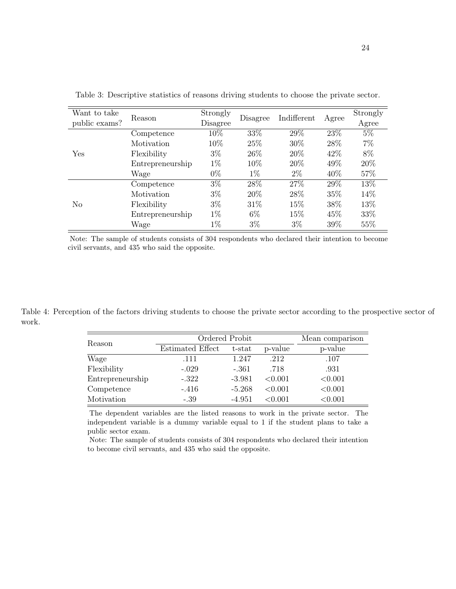| Want to take<br>public exams? | Reason           | Strongly<br>Disagree | Disagree | Indifferent | Agree | Strongly<br>Agree |
|-------------------------------|------------------|----------------------|----------|-------------|-------|-------------------|
|                               | Competence       | 10%                  | 33%      | 29%         | 23%   | $5\%$             |
|                               | Motivation       | 10%                  | 25\%     | 30%         | 28\%  | $7\%$             |
| Yes                           | Flexibility      | $3\%$                | 26\%     | 20%         | 42\%  | 8%                |
|                               | Entrepreneurship | $1\%$                | 10%      | 20%         | 49%   | 20%               |
|                               | Wage             | $0\%$                | $1\%$    | $2\%$       | 40\%  | 57%               |
|                               | Competence       | $3\%$                | 28\%     | 27%         | 29%   | 13%               |
|                               | Motivation       | $3\%$                | 20%      | 28\%        | 35%   | 14\%              |
| No                            | Flexibility      | $3\%$                | 31\%     | 15%         | 38%   | 13%               |
|                               | Entrepreneurship | $1\%$                | $6\%$    | 15%         | 45\%  | 33%               |
|                               | Wage             | $1\%$                | $3\%$    | $3\%$       | 39\%  | 55%               |

Table 3: Descriptive statistics of reasons driving students to choose the private sector.

Note: The sample of students consists of 304 respondents who declared their intention to become civil servants, and 435 who said the opposite.

Table 4: Perception of the factors driving students to choose the private sector according to the prospective sector of work.

| Reason           | Ordered Probit   | Mean comparison |         |         |
|------------------|------------------|-----------------|---------|---------|
|                  | Estimated Effect | $t$ -stat       | p-value | p-value |
| Wage             | .111             | 1.247           | .212    | .107    |
| Flexibility      | $-.029$          | $-.361$         | .718    | .931    |
| Entrepreneurship | $-.322$          | $-3.981$        | < 0.001 | < 0.001 |
| Competence       | $-.416$          | $-5.268$        | < 0.001 | < 0.001 |
| Motivation       | $-.39$           | -4.951          | < 0.001 | < 0.001 |
|                  |                  |                 |         |         |

The dependent variables are the listed reasons to work in the private sector. The independent variable is a dummy variable equal to 1 if the student plans to take a public sector exam.

Note: The sample of students consists of 304 respondents who declared their intention to become civil servants, and 435 who said the opposite.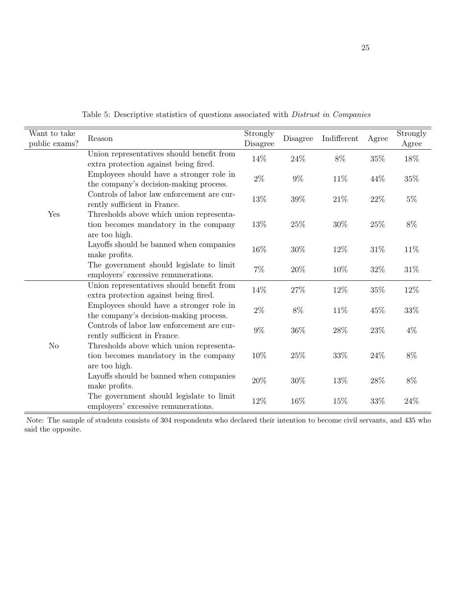| Want to take   |                                                                                                    | Strongly |          |             |        | Strongly |
|----------------|----------------------------------------------------------------------------------------------------|----------|----------|-------------|--------|----------|
| public exams?  | Reason                                                                                             | Disagree | Disagree | Indifferent | Agree  | Agree    |
|                | Union representatives should benefit from<br>extra protection against being fired.                 | 14\%     | $24\%$   | $8\%$       | $35\%$ | $18\%$   |
|                | Employees should have a stronger role in<br>the company's decision-making process.                 | $2\%$    | $9\%$    | 11\%        | 44%    | $35\%$   |
|                | Controls of labor law enforcement are cur-<br>rently sufficient in France.                         | 13%      | $39\%$   | $21\%$      | $22\%$ | $5\%$    |
| Yes            | Thresholds above which union representa-<br>tion becomes mandatory in the company<br>are too high. | 13\%     | 25\%     | 30%         | 25%    | $8\%$    |
|                | Layoffs should be banned when companies<br>make profits.                                           | 16\%     | $30\%$   | 12%         | 31%    | 11\%     |
|                | The government should legislate to limit<br>employers' excessive remunerations.                    | $7\%$    | 20%      | 10%         | 32%    | $31\%$   |
|                | Union representatives should benefit from<br>extra protection against being fired.                 | 14\%     | $27\%$   | 12\%        | 35\%   | 12\%     |
|                | Employees should have a stronger role in<br>the company's decision-making process.                 | $2\%$    | $8\%$    | 11\%        | 45%    | $33\%$   |
|                | Controls of labor law enforcement are cur-<br>rently sufficient in France.                         | $9\%$    | $36\%$   | $28\%$      | $23\%$ | $4\%$    |
| N <sub>o</sub> | Thresholds above which union representa-<br>tion becomes mandatory in the company<br>are too high. | 10%      | $25\%$   | $33\%$      | 24\%   | $8\%$    |
|                | Layoffs should be banned when companies<br>make profits.                                           | 20%      | $30\%$   | 13%         | 28%    | $8\%$    |
|                | The government should legislate to limit<br>employers' excessive remunerations.                    | 12%      | 16%      | 15%         | $33\%$ | 24%      |

Table 5: Descriptive statistics of questions associated with Distrust in Companies

Note: The sample of students consists of 304 respondents who declared their intention to become civil servants, and 435 who said the opposite.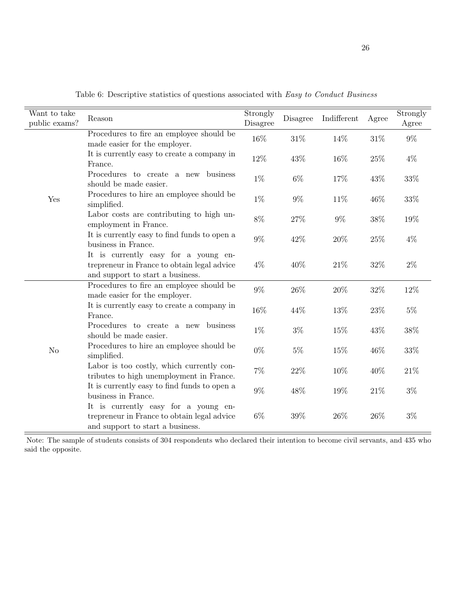| Want to take<br>public exams? | Reason                                                                                                                  | Strongly<br>Disagree | Disagree | Indifferent | Agree  | Strongly<br>Agree |
|-------------------------------|-------------------------------------------------------------------------------------------------------------------------|----------------------|----------|-------------|--------|-------------------|
|                               | Procedures to fire an employee should be<br>made easier for the employer.                                               | 16%                  | 31\%     | 14%         | $31\%$ | $9\%$             |
|                               | It is currently easy to create a company in<br>France.                                                                  | 12%                  | 43%      | 16%         | 25\%   | $4\%$             |
|                               | Procedures to create a new business<br>should be made easier.                                                           | $1\%$                | $6\%$    | 17%         | 43\%   | 33%               |
| Yes                           | Procedures to hire an employee should be<br>simplified.                                                                 | $1\%$                | 9%       | 11%         | 46\%   | $33\%$            |
|                               | Labor costs are contributing to high un-<br>employment in France.                                                       | $8\%$                | $27\%$   | $9\%$       | $38\%$ | 19%               |
|                               | It is currently easy to find funds to open a<br>business in France.                                                     | $9\%$                | 42\%     | $20\%$      | $25\%$ | $4\%$             |
|                               | It is currently easy for a young en-<br>trepreneur in France to obtain legal advice<br>and support to start a business. | $4\%$                | 40%      | 21\%        | 32%    | $2\%$             |
|                               | Procedures to fire an employee should be<br>made easier for the employer.                                               | $9\%$                | 26%      | $20\%$      | 32%    | 12%               |
|                               | It is currently easy to create a company in<br>France.                                                                  | 16%                  | 44%      | 13%         | 23%    | $5\%$             |
|                               | Procedures to create a new business<br>should be made easier.                                                           | $1\%$                | $3\%$    | $15\%$      | 43%    | 38%               |
| N <sub>o</sub>                | Procedures to hire an employee should be<br>simplified.                                                                 | $0\%$                | $5\%$    | 15%         | 46%    | 33%               |
|                               | Labor is too costly, which currently con-<br>tributes to high unemployment in France.                                   | $7\%$                | $22\%$   | 10%         | 40\%   | $21\%$            |
|                               | It is currently easy to find funds to open a<br>business in France.                                                     | $9\%$                | 48\%     | $19\%$      | $21\%$ | $3\%$             |
|                               | It is currently easy for a young en-<br>trepreneur in France to obtain legal advice<br>and support to start a business. | $6\%$                | $39\%$   | 26%         | 26\%   | $3\%$             |

Table 6: Descriptive statistics of questions associated with Easy to Conduct Business

Note: The sample of students consists of 304 respondents who declared their intention to become civil servants, and 435 who said the opposite.

 $\equiv$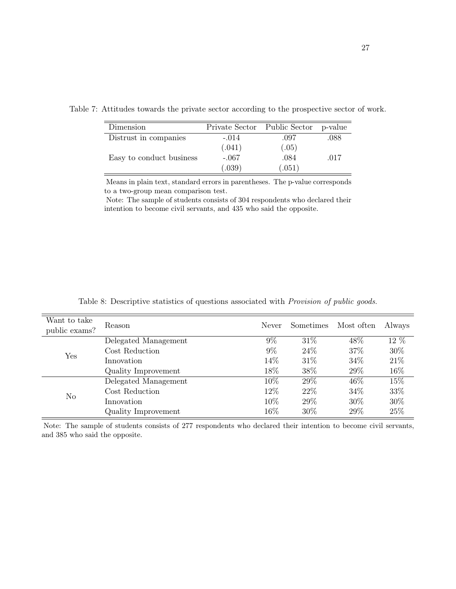| Dimension                | Private Sector Public Sector |        | p-value |
|--------------------------|------------------------------|--------|---------|
| Distrust in companies    | $-.014$                      | .097   | .088    |
|                          | (.041)                       | (.05)  |         |
| Easy to conduct business | $-.067$                      | .084   | .017    |
|                          | (.039)                       | (.051) |         |

Table 7: Attitudes towards the private sector according to the prospective sector of work.

Means in plain text, standard errors in parentheses. The p-value corresponds to a two-group mean comparison test.

Note: The sample of students consists of 304 respondents who declared their intention to become civil servants, and 435 who said the opposite.

| Want to take<br>public exams? | Reason               | Never | Sometimes | Most often | Always |
|-------------------------------|----------------------|-------|-----------|------------|--------|
|                               | Delegated Management | $9\%$ | 31\%      | 48\%       | 12 %   |
| Yes                           | Cost Reduction       | $9\%$ | 24%       | 37%        | 30%    |
|                               | Innovation           | 14%   | 31\%      | 34\%       | 21\%   |
|                               | Quality Improvement  | 18%   | 38\%      | 29%        | 16%    |
|                               | Delegated Management | 10%   | 29\%      | 46\%       | 15%    |
|                               | Cost Reduction       | 12%   | 22\%      | 34\%       | 33%    |
| N <sub>o</sub>                | Innovation           | 10%   | 29%       | 30%        | 30%    |
|                               | Quality Improvement  | 16%   | 30\%      | 29%        | 25\%   |

Table 8: Descriptive statistics of questions associated with Provision of public goods.

Note: The sample of students consists of 277 respondents who declared their intention to become civil servants, and 385 who said the opposite.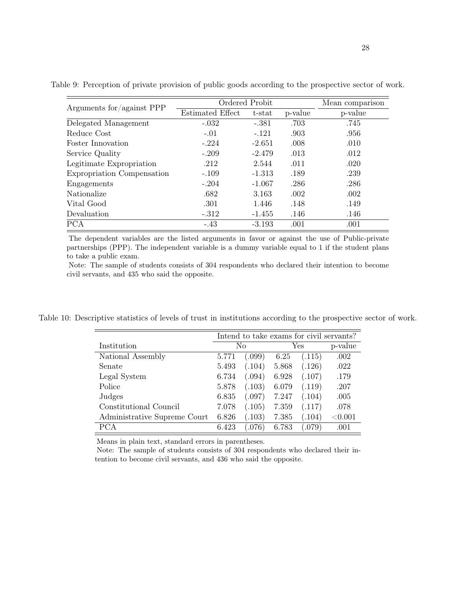| Arguments for/against PPP  | Ordered Probit   |           |         | Mean comparison |
|----------------------------|------------------|-----------|---------|-----------------|
|                            | Estimated Effect | $t$ -stat | p-value | p-value         |
| Delegated Management       | $-.032$          | $-.381$   | .703    | .745            |
| Reduce Cost                | $-.01$           | $-.121$   | .903    | .956            |
| Foster Innovation          | $-.224$          | $-2.651$  | .008    | .010            |
| Service Quality            | $-.209$          | $-2.479$  | .013    | .012            |
| Legitimate Expropriation   | .212             | 2.544     | .011    | .020            |
| Expropriation Compensation | $-.109$          | $-1.313$  | .189    | .239            |
| Engagements                | $-.204$          | $-1.067$  | .286    | .286            |
| <b>Nationalize</b>         | .682             | 3.163     | .002    | .002            |
| Vital Good                 | .301             | 1.446     | .148    | .149            |
| Devaluation                | $-.312$          | $-1.455$  | .146    | .146            |
| <b>PCA</b>                 | $-.43$           | $-3.193$  | .001    | .001            |

Table 9: Perception of private provision of public goods according to the prospective sector of work.

The dependent variables are the listed arguments in favor or against the use of Public-private partnerships (PPP). The independent variable is a dummy variable equal to 1 if the student plans to take a public exam.

Note: The sample of students consists of 304 respondents who declared their intention to become civil servants, and 435 who said the opposite.

Table 10: Descriptive statistics of levels of trust in institutions according to the prospective sector of work.

|                              | Intend to take exams for civil servants? |        |       |        |            |  |
|------------------------------|------------------------------------------|--------|-------|--------|------------|--|
| Institution                  |                                          | No     |       | Yes    | p-value    |  |
| National Assembly            | 5.771                                    | (.099) | 6.25  | (.115) | .002       |  |
| Senate                       | 5.493                                    | (.104) | 5.868 | (.126) | .022       |  |
| Legal System                 | 6.734                                    | (.094) | 6.928 | (.107) | .179       |  |
| Police                       | 5.878                                    | (.103) | 6.079 | (.119) | .207       |  |
| Judges                       | 6.835                                    | (.097) | 7.247 | (.104) | .005       |  |
| Constitutional Council       | 7.078                                    | (.105) | 7.359 | (.117) | .078       |  |
| Administrative Supreme Court | 6.826                                    | (.103) | 7.385 | (.104) | ${<}0.001$ |  |
| PCA                          | 6.423                                    | (.076) | 6.783 | .079)  | .001       |  |

Means in plain text, standard errors in parentheses.

Note: The sample of students consists of 304 respondents who declared their intention to become civil servants, and 436 who said the opposite.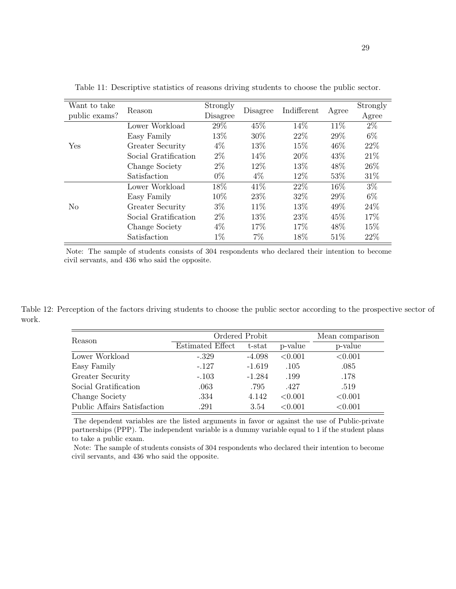| Want to take<br>public exams? | Reason               | Strongly<br>Disagree | Disagree | Indifferent | Agree | Strongly<br>Agree |
|-------------------------------|----------------------|----------------------|----------|-------------|-------|-------------------|
|                               | Lower Workload       | 29%                  | 45\%     | 14%         | 11%   | $2\%$             |
|                               | Easy Family          | 13%                  | 30\%     | 22\%        | 29%   | 6\%               |
| Yes                           | Greater Security     | $4\%$                | 13\%     | 15%         | 46\%  | 22\%              |
|                               | Social Gratification | $2\%$                | 14\%     | 20%         | 43\%  | 21\%              |
|                               | Change Society       | $2\%$                | 12\%     | 13\%        | 48\%  | 26\%              |
|                               | Satisfaction         | $0\%$                | $4\%$    | 12%         | 53%   | 31\%              |
|                               | Lower Workload       | 18%                  | 41\%     | 22\%        | 16%   | $3\%$             |
|                               | Easy Family          | 10\%                 | 23\%     | 32\%        | 29%   | $6\%$             |
| N <sub>0</sub>                | Greater Security     | $3\%$                | 11\%     | 13\%        | 49%   | 24\%              |
|                               | Social Gratification | $2\%$                | 13\%     | 23\%        | 45\%  | 17%               |
|                               | Change Society       | $4\%$                | 17%      | 17%         | 48\%  | 15%               |
|                               | Satisfaction         | $1\%$                | 7%       | 18%         | 51%   | 22\%              |

Table 11: Descriptive statistics of reasons driving students to choose the public sector.

Note: The sample of students consists of 304 respondents who declared their intention to become civil servants, and 436 who said the opposite.

Table 12: Perception of the factors driving students to choose the public sector according to the prospective sector of work.

| Reason                             | Ordered Probit | Mean comparison |         |         |
|------------------------------------|----------------|-----------------|---------|---------|
| Estimated Effect                   |                | $t$ -stat       | p-value | p-value |
| Lower Workload                     | $-.329$        | $-4.098$        | < 0.001 | < 0.001 |
| Easy Family                        | $-.127$        | $-1.619$        | .105    | .085    |
| Greater Security                   | $-.103$        | $-1.284$        | .199    | .178    |
| Social Gratification               | .063           | .795            | .427    | .519    |
| Change Society                     | .334           | 4.142           | < 0.001 | < 0.001 |
| <b>Public Affairs Satisfaction</b> | .291           | 3.54            | < 0.001 | < 0.001 |

The dependent variables are the listed arguments in favor or against the use of Public-private partnerships (PPP). The independent variable is a dummy variable equal to 1 if the student plans to take a public exam.

Note: The sample of students consists of 304 respondents who declared their intention to become civil servants, and 436 who said the opposite.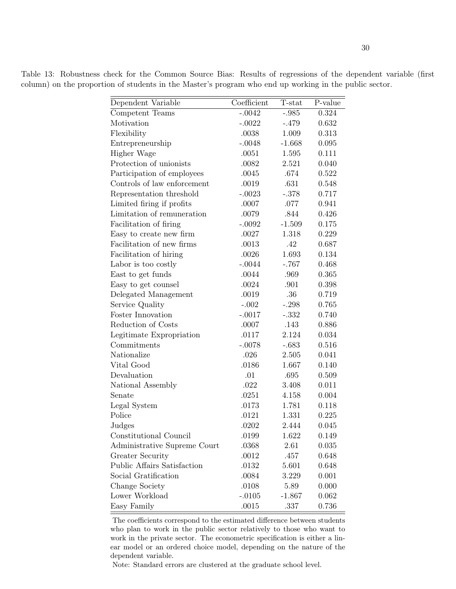Table 13: Robustness check for the Common Source Bias: Results of regressions of the dependent variable (first column) on the proportion of students in the Master's program who end up working in the public sector.

| Dependent Variable           | Coefficient | T-stat   | P-value |
|------------------------------|-------------|----------|---------|
| Competent Teams              | $-.0042$    | $-.985$  | 0.324   |
| Motivation                   | $-.0022$    | $-.479$  | 0.632   |
| Flexibility                  | .0038       | 1.009    | 0.313   |
| Entrepreneurship             | $-.0048$    | $-1.668$ | 0.095   |
| Higher Wage                  | .0051       | 1.595    | 0.111   |
| Protection of unionists      | .0082       | 2.521    | 0.040   |
| Participation of employees   | .0045       | .674     | 0.522   |
| Controls of law enforcement  | .0019       | .631     | 0.548   |
| Representation threshold     | $-.0023$    | $-.378$  | 0.717   |
| Limited firing if profits    | .0007       | .077     | 0.941   |
| Limitation of remuneration   | .0079       | .844     | 0.426   |
| Facilitation of firing       | $-.0092$    | $-1.509$ | 0.175   |
| Easy to create new firm      | .0027       | 1.318    | 0.229   |
| Facilitation of new firms    | .0013       | .42      | 0.687   |
| Facilitation of hiring       | .0026       | 1.693    | 0.134   |
| Labor is too costly          | $-.0044$    | $-.767$  | 0.468   |
| East to get funds            | .0044       | .969     | 0.365   |
| Easy to get counsel          | .0024       | .901     | 0.398   |
| Delegated Management         | .0019       | .36      | 0.719   |
| Service Quality              | $-.002$     | $-.298$  | 0.765   |
| Foster Innovation            | $-.0017$    | $-.332$  | 0.740   |
| Reduction of Costs           | .0007       | .143     | 0.886   |
| Legitimate Expropriation     | .0117       | 2.124    | 0.034   |
| Commitments                  | $-.0078$    | $-.683$  | 0.516   |
| Nationalize                  | .026        | 2.505    | 0.041   |
| Vital Good                   | .0186       | 1.667    | 0.140   |
| Devaluation                  | .01         | .695     | 0.509   |
| National Assembly            | .022        | 3.408    | 0.011   |
| Senate                       | .0251       | 4.158    | 0.004   |
| Legal System                 | .0173       | 1.781    | 0.118   |
| Police                       | .0121       | 1.331    | 0.225   |
| Judges                       | .0202       | 2.444    | 0.045   |
| Constitutional Council       | .0199       | 1.622    | 0.149   |
| Administrative Supreme Court | .0368       | 2.61     | 0.035   |
| <b>Greater Security</b>      | .0012       | .457     | 0.648   |
| Public Affairs Satisfaction  | .0132       | 5.601    | 0.648   |
| Social Gratification         | .0084       | 3.229    | 0.001   |
| Change Society               | .0108       | 5.89     | 0.000   |
| Lower Workload               | $-.0105$    | $-1.867$ | 0.062   |
| Easy Family                  | .0015       | .337     | 0.736   |

The coefficients correspond to the estimated difference between students who plan to work in the public sector relatively to those who want to work in the private sector. The econometric specification is either a linear model or an ordered choice model, depending on the nature of the dependent variable.

Note: Standard errors are clustered at the graduate school level.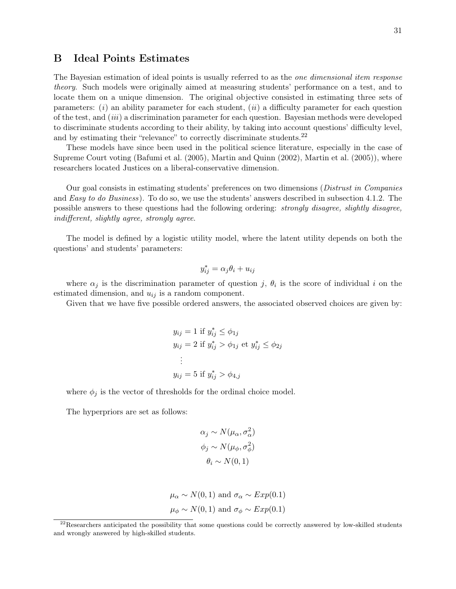## B Ideal Points Estimates

The Bayesian estimation of ideal points is usually referred to as the *one dimensional item response* theory. Such models were originally aimed at measuring students' performance on a test, and to locate them on a unique dimension. The original objective consisted in estimating three sets of parameters:  $(i)$  an ability parameter for each student,  $(ii)$  a difficulty parameter for each question of the test, and (iii) a discrimination parameter for each question. Bayesian methods were developed to discriminate students according to their ability, by taking into account questions' difficulty level, and by estimating their "relevance" to correctly discriminate students.<sup>22</sup>

These models have since been used in the political science literature, especially in the case of Supreme Court voting (Bafumi et al. (2005), Martin and Quinn (2002), Martin et al. (2005)), where researchers located Justices on a liberal-conservative dimension.

Our goal consists in estimating students' preferences on two dimensions (Distrust in Companies and *Easy to do Business*). To do so, we use the students' answers described in subsection 4.1.2. The possible answers to these questions had the following ordering: strongly disagree, slightly disagree, indifferent, slightly agree, strongly agree.

The model is defined by a logistic utility model, where the latent utility depends on both the questions' and students' parameters:

$$
y_{ij}^* = \alpha_j \theta_i + u_{ij}
$$

where  $\alpha_j$  is the discrimination parameter of question j,  $\theta_i$  is the score of individual i on the estimated dimension, and  $u_{ij}$  is a random component.

Given that we have five possible ordered answers, the associated observed choices are given by:

$$
y_{ij} = 1 \text{ if } y_{ij}^* \le \phi_{1j}
$$
  
\n
$$
y_{ij} = 2 \text{ if } y_{ij}^* > \phi_{1j} \text{ et } y_{ij}^* \le \phi_{2j}
$$
  
\n:  
\n
$$
y_{ij} = 5 \text{ if } y_{ij}^* > \phi_{4,j}
$$

where  $\phi_j$  is the vector of thresholds for the ordinal choice model.

The hyperpriors are set as follows:

$$
\alpha_j \sim N(\mu_\alpha, \sigma_\alpha^2)
$$

$$
\phi_j \sim N(\mu_\phi, \sigma_\phi^2)
$$

$$
\theta_i \sim N(0, 1)
$$

$$
\mu_{\alpha} \sim N(0, 1)
$$
 and  $\sigma_{\alpha} \sim Exp(0.1)$   
\n $\mu_{\phi} \sim N(0, 1)$  and  $\sigma_{\phi} \sim Exp(0.1)$ 

 $^{22}$ Researchers anticipated the possibility that some questions could be correctly answered by low-skilled students and wrongly answered by high-skilled students.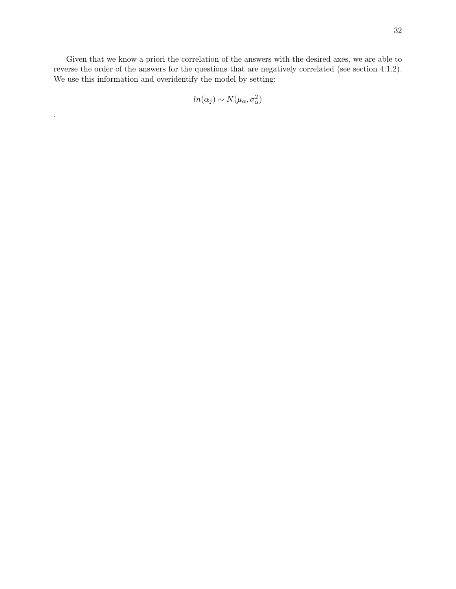Given that we know a priori the correlation of the answers with the desired axes, we are able to reverse the order of the answers for the questions that are negatively correlated (see section 4.1.2). We use this information and overidentify the model by setting:

$$
ln(\alpha_j) \sim N(\mu_\alpha, \sigma_\alpha^2)
$$

.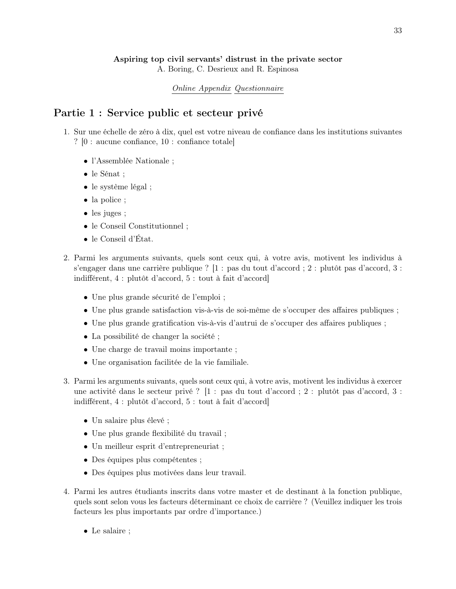## Aspiring top civil servants' distrust in the private sector

A. Boring, C. Desrieux and R. Espinosa

### Online Appendix Questionnaire

## Partie 1 : Service public et secteur privé

- 1. Sur une échelle de zéro à dix, quel est votre niveau de confiance dans les institutions suivantes ? [0 : aucune confiance, 10 : confiance totale]
	- l'Assemblée Nationale ;
	- le Sénat ;
	- le système légal ;
	- la police ;
	- les juges ;
	- le Conseil Constitutionnel ;
	- le Conseil d'État.
- 2. Parmi les arguments suivants, quels sont ceux qui, à votre avis, motivent les individus à s'engager dans une carrière publique ? [1 : pas du tout d'accord ; 2 : plutôt pas d'accord, 3 : indifférent, 4 : plutôt d'accord, 5 : tout à fait d'accord]
	- Une plus grande sécurité de l'emploi ;
	- Une plus grande satisfaction vis-à-vis de soi-même de s'occuper des affaires publiques ;
	- Une plus grande gratification vis-à-vis d'autrui de s'occuper des affaires publiques ;
	- La possibilité de changer la société ;
	- Une charge de travail moins importante ;
	- Une organisation facilitée de la vie familiale.
- 3. Parmi les arguments suivants, quels sont ceux qui, à votre avis, motivent les individus à exercer une activité dans le secteur privé ? [1 : pas du tout d'accord ; 2 : plutôt pas d'accord, 3 : indifférent, 4 : plutôt d'accord, 5 : tout à fait d'accord]
	- Un salaire plus élevé ;
	- Une plus grande flexibilité du travail ;
	- Un meilleur esprit d'entrepreneuriat ;
	- Des équipes plus compétentes ;
	- Des équipes plus motivées dans leur travail.
- 4. Parmi les autres étudiants inscrits dans votre master et de destinant à la fonction publique, quels sont selon vous les facteurs déterminant ce choix de carrière ? (Veuillez indiquer les trois facteurs les plus importants par ordre d'importance.)
	- Le salaire ;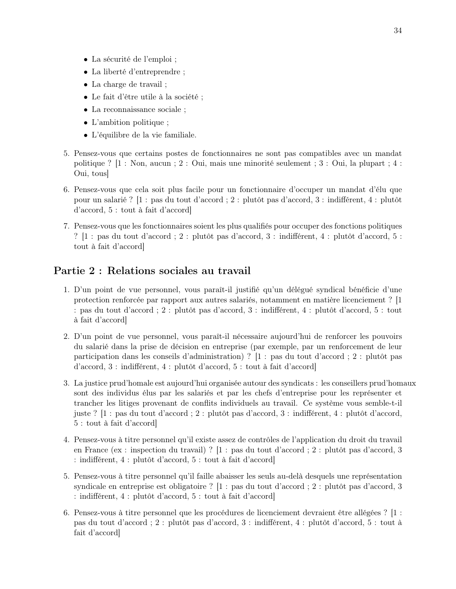- La sécurité de l'emploi ;
- La liberté d'entreprendre ;
- La charge de travail ;
- Le fait d'être utile à la société ;
- La reconnaissance sociale ;
- L'ambition politique ;
- L'équilibre de la vie familiale.
- 5. Pensez-vous que certains postes de fonctionnaires ne sont pas compatibles avec un mandat politique ? [1 : Non, aucun ; 2 : Oui, mais une minorité seulement ; 3 : Oui, la plupart ; 4 : Oui, tous]
- 6. Pensez-vous que cela soit plus facile pour un fonctionnaire d'occuper un mandat d'élu que pour un salarié ? [1 : pas du tout d'accord ; 2 : plutôt pas d'accord, 3 : indifférent, 4 : plutôt d'accord, 5 : tout à fait d'accord]
- 7. Pensez-vous que les fonctionnaires soient les plus qualifiés pour occuper des fonctions politiques ? [1 : pas du tout d'accord ; 2 : plutôt pas d'accord, 3 : indifférent, 4 : plutôt d'accord, 5 : tout à fait d'accord]

## Partie 2 : Relations sociales au travail

- 1. D'un point de vue personnel, vous paraît-il justifié qu'un délégué syndical bénéficie d'une protection renforcée par rapport aux autres salariés, notamment en matière licenciement ? [1 : pas du tout d'accord ; 2 : plutôt pas d'accord, 3 : indifférent, 4 : plutôt d'accord, 5 : tout à fait d'accord]
- 2. D'un point de vue personnel, vous paraît-il nécessaire aujourd'hui de renforcer les pouvoirs du salarié dans la prise de décision en entreprise (par exemple, par un renforcement de leur participation dans les conseils d'administration) ? [1 : pas du tout d'accord ; 2 : plutôt pas d'accord, 3 : indifférent, 4 : plutôt d'accord, 5 : tout à fait d'accord]
- 3. La justice prud'homale est aujourd'hui organisée autour des syndicats : les conseillers prud'homaux sont des individus élus par les salariés et par les chefs d'entreprise pour les représenter et trancher les litiges provenant de conflits individuels au travail. Ce système vous semble-t-il juste ? [1 : pas du tout d'accord ; 2 : plutôt pas d'accord, 3 : indifférent, 4 : plutôt d'accord, 5 : tout à fait d'accord]
- 4. Pensez-vous à titre personnel qu'il existe assez de contrôles de l'application du droit du travail en France (ex : inspection du travail) ? [1 : pas du tout d'accord ; 2 : plutôt pas d'accord, 3 : indifférent, 4 : plutôt d'accord, 5 : tout à fait d'accord]
- 5. Pensez-vous à titre personnel qu'il faille abaisser les seuls au-delà desquels une représentation syndicale en entreprise est obligatoire ? [1 : pas du tout d'accord ; 2 : plutôt pas d'accord, 3 : indifférent, 4 : plutôt d'accord, 5 : tout à fait d'accord]
- 6. Pensez-vous à titre personnel que les procédures de licenciement devraient être allégées ? [1 : pas du tout d'accord ; 2 : plutôt pas d'accord, 3 : indifférent, 4 : plutôt d'accord, 5 : tout à fait d'accord]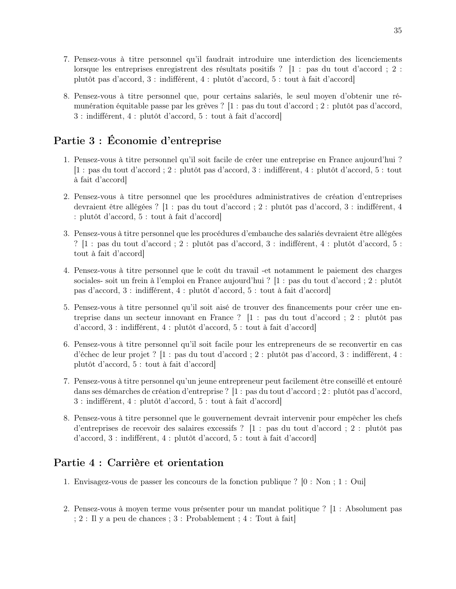- 7. Pensez-vous à titre personnel qu'il faudrait introduire une interdiction des licenciements lorsque les entreprises enregistrent des résultats positifs ? [1 : pas du tout d'accord ; 2 : plutôt pas d'accord, 3 : indifférent, 4 : plutôt d'accord, 5 : tout à fait d'accord]
- 8. Pensez-vous à titre personnel que, pour certains salariés, le seul moyen d'obtenir une rémunération équitable passe par les grèves ? [1 : pas du tout d'accord ; 2 : plutôt pas d'accord, 3 : indifférent, 4 : plutôt d'accord, 5 : tout à fait d'accord]

## Partie 3 : Économie d'entreprise

- 1. Pensez-vous à titre personnel qu'il soit facile de créer une entreprise en France aujourd'hui ? [1 : pas du tout d'accord ; 2 : plutôt pas d'accord, 3 : indifférent, 4 : plutôt d'accord, 5 : tout à fait d'accord]
- 2. Pensez-vous à titre personnel que les procédures administratives de création d'entreprises devraient être allégées ? [1 : pas du tout d'accord ; 2 : plutôt pas d'accord, 3 : indifférent, 4 : plutôt d'accord, 5 : tout à fait d'accord]
- 3. Pensez-vous à titre personnel que les procédures d'embauche des salariés devraient être allégées ? [1 : pas du tout d'accord ; 2 : plutôt pas d'accord, 3 : indifférent, 4 : plutôt d'accord, 5 : tout à fait d'accord]
- 4. Pensez-vous à titre personnel que le coût du travail -et notamment le paiement des charges sociales- soit un frein à l'emploi en France aujourd'hui ? [1 : pas du tout d'accord ; 2 : plutôt pas d'accord, 3 : indifférent, 4 : plutôt d'accord, 5 : tout à fait d'accord]
- 5. Pensez-vous à titre personnel qu'il soit aisé de trouver des financements pour créer une entreprise dans un secteur innovant en France ? [1 : pas du tout d'accord ; 2 : plutôt pas d'accord, 3 : indifférent, 4 : plutôt d'accord, 5 : tout à fait d'accord]
- 6. Pensez-vous à titre personnel qu'il soit facile pour les entrepreneurs de se reconvertir en cas d'échec de leur projet ? [1 : pas du tout d'accord ; 2 : plutôt pas d'accord, 3 : indifférent, 4 : plutôt d'accord, 5 : tout à fait d'accord]
- 7. Pensez-vous à titre personnel qu'un jeune entrepreneur peut facilement être conseillé et entouré dans ses démarches de création d'entreprise ? [1 : pas du tout d'accord ; 2 : plutôt pas d'accord, 3 : indifférent, 4 : plutôt d'accord, 5 : tout à fait d'accord]
- 8. Pensez-vous à titre personnel que le gouvernement devrait intervenir pour empêcher les chefs d'entreprises de recevoir des salaires excessifs ? [1 : pas du tout d'accord ; 2 : plutôt pas d'accord, 3 : indifférent, 4 : plutôt d'accord, 5 : tout à fait d'accord]

## Partie 4 : Carrière et orientation

- 1. Envisagez-vous de passer les concours de la fonction publique ? [0 : Non ; 1 : Oui]
- 2. Pensez-vous à moyen terme vous présenter pour un mandat politique ? [1 : Absolument pas ; 2 : Il y a peu de chances ; 3 : Probablement ; 4 : Tout à fait]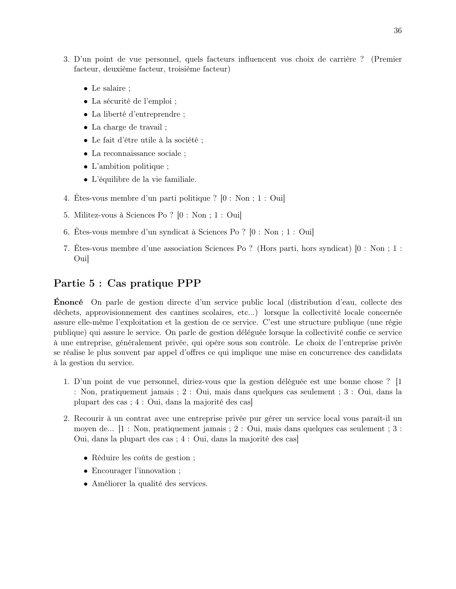- 3. D'un point de vue personnel, quels facteurs influencent vos choix de carrière ? (Premier facteur, deuxième facteur, troisième facteur)
	- Le salaire ;
	- La sécurité de l'emploi ;
	- La liberté d'entreprendre ;
	- La charge de travail ;
	- Le fait d'être utile à la société ;
	- La reconnaissance sociale ;
	- L'ambition politique ;
	- L'équilibre de la vie familiale.
- 4. Êtes-vous membre d'un parti politique ? [0 : Non ; 1 : Oui]
- 5. Militez-vous à Sciences Po ? [0 : Non ; 1 : Oui]
- 6. Êtes-vous membre d'un syndicat à Sciences Po ? [0 : Non ; 1 : Oui]
- 7. Êtes-vous membre d'une association Sciences Po ? (Hors parti, hors syndicat) [0 : Non ; 1 : Oui]

## Partie 5 : Cas pratique PPP

Énoncé On parle de gestion directe d'un service public local (distribution d'eau, collecte des déchets, approvisionnement des cantines scolaires, etc...) lorsque la collectivité locale concernée assure elle-même l'exploitation et la gestion de ce service. C'est une structure publique (une régie publique) qui assure le service. On parle de gestion déléguée lorsque la collectivité confie ce service à une entreprise, généralement privée, qui opère sous son contrôle. Le choix de l'entreprise privée se réalise le plus souvent par appel d'offres ce qui implique une mise en concurrence des candidats à la gestion du service.

- 1. D'un point de vue personnel, diriez-vous que la gestion déléguée est une bonne chose ? [1 : Non, pratiquement jamais ; 2 : Oui, mais dans quelques cas seulement ; 3 : Oui, dans la plupart des cas ; 4 : Oui, dans la majorité des cas]
- 2. Recourir à un contrat avec une entreprise privée pur gérer un service local vous paraît-il un moyen de... [1 : Non, pratiquement jamais ; 2 : Oui, mais dans quelques cas seulement ; 3 : Oui, dans la plupart des cas ; 4 : Oui, dans la majorité des cas]
	- Réduire les coûts de gestion ;
	- Encourager l'innovation ;
	- Améliorer la qualité des services.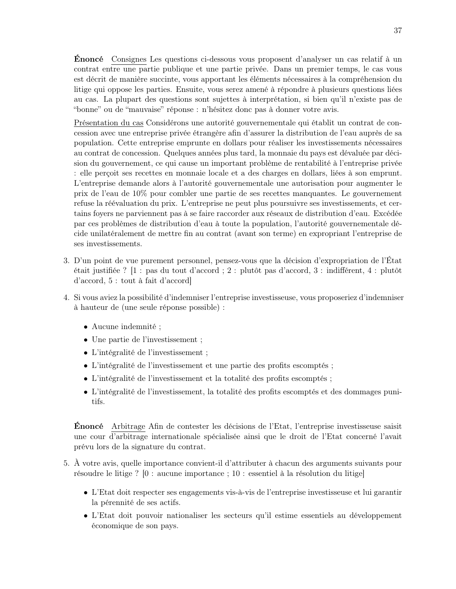Énoncé Consignes Les questions ci-dessous vous proposent d'analyser un cas relatif à un contrat entre une partie publique et une partie privée. Dans un premier temps, le cas vous est décrit de manière succinte, vous apportant les éléments nécessaires à la compréhension du litige qui oppose les parties. Ensuite, vous serez amené à répondre à plusieurs questions liées au cas. La plupart des questions sont sujettes à interprétation, si bien qu'il n'existe pas de "bonne" ou de "mauvaise" réponse : n'hésitez donc pas à donner votre avis.

Présentation du cas Considérons une autorité gouvernementale qui établit un contrat de concession avec une entreprise privée étrangère afin d'assurer la distribution de l'eau auprès de sa population. Cette entreprise emprunte en dollars pour réaliser les investissements nécessaires au contrat de concession. Quelques années plus tard, la monnaie du pays est dévaluée par décision du gouvernement, ce qui cause un important problème de rentabilité à l'entreprise privée : elle perçoit ses recettes en monnaie locale et a des charges en dollars, liées à son emprunt. L'entreprise demande alors à l'autorité gouvernementale une autorisation pour augmenter le prix de l'eau de 10% pour combler une partie de ses recettes manquantes. Le gouvernement refuse la réévaluation du prix. L'entreprise ne peut plus poursuivre ses investissements, et certains foyers ne parviennent pas à se faire raccorder aux réseaux de distribution d'eau. Excédée par ces problèmes de distribution d'eau à toute la population, l'autorité gouvernementale décide unilatéralement de mettre fin au contrat (avant son terme) en expropriant l'entreprise de ses investissements.

- 3. D'un point de vue purement personnel, pensez-vous que la décision d'expropriation de l'État était justifiée ? [1 : pas du tout d'accord ; 2 : plutôt pas d'accord, 3 : indifférent, 4 : plutôt d'accord, 5 : tout à fait d'accord]
- 4. Si vous aviez la possibilité d'indemniser l'entreprise investisseuse, vous proposeriez d'indemniser à hauteur de (une seule réponse possible) :
	- Aucune indemnité ;
	- Une partie de l'investissement ;
	- L'intégralité de l'investissement ;
	- L'intégralité de l'investissement et une partie des profits escomptés ;
	- L'intégralité de l'investissement et la totalité des profits escomptés ;
	- L'intégralité de l'investissement, la totalité des profits escomptés et des dommages punitifs.

Énoncé Arbitrage Afin de contester les décisions de l'Etat, l'entreprise investisseuse saisit une cour d'arbitrage internationale spécialisée ainsi que le droit de l'Etat concerné l'avait prévu lors de la signature du contrat.

- 5. À votre avis, quelle importance convient-il d'attributer à chacun des arguments suivants pour résoudre le litige ? [0 : aucune importance ; 10 : essentiel à la résolution du litige]
	- L'Etat doit respecter ses engagements vis-à-vis de l'entreprise investisseuse et lui garantir la pérennité de ses actifs.
	- L'Etat doit pouvoir nationaliser les secteurs qu'il estime essentiels au développement économique de son pays.